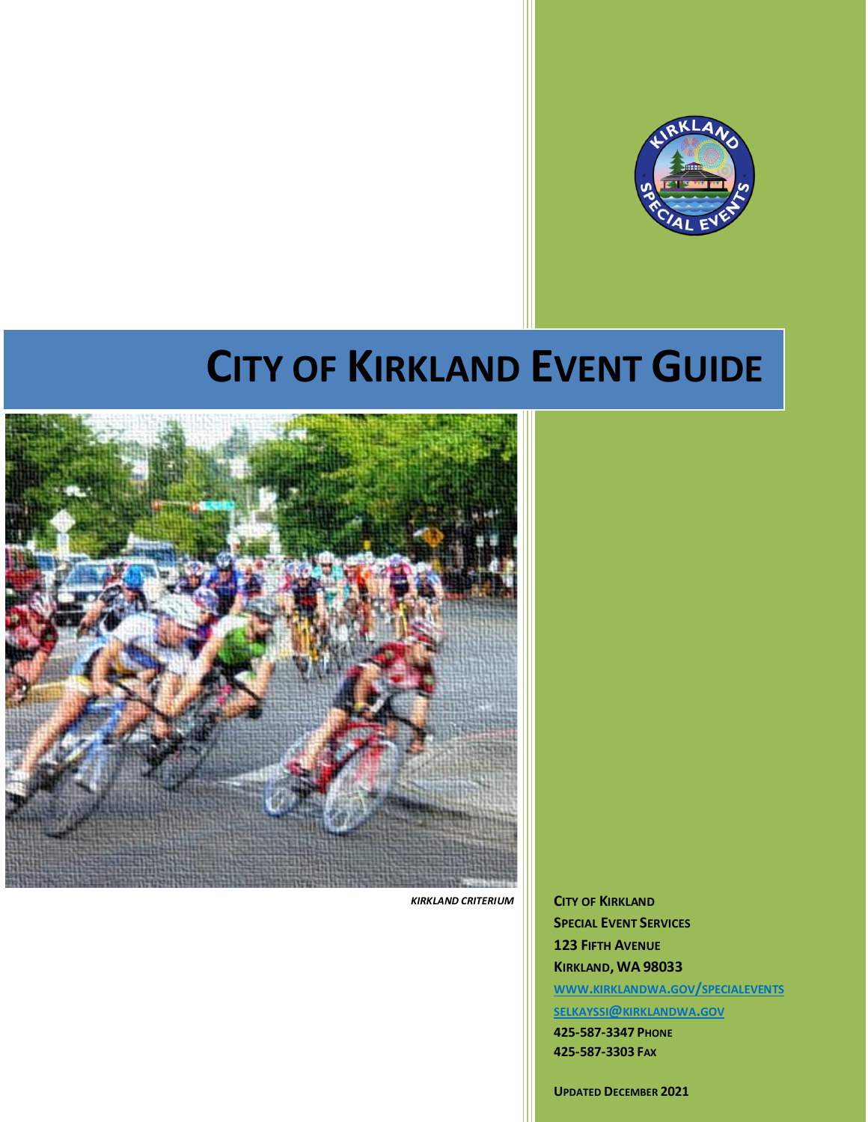

# **CITY OF KIRKLAND EVENT GUIDE**



 *KIRKLAND CRITERIUM*

**CITY OF KIRKLAND SPECIAL EVENT SERVICES 123 FIFTH AVENUE KIRKLAND, WA 98033 WWW.KIRKLANDWA.GOV/[SPECIALEVENTS](https://www.kirklandwa.gov/Government/Departments/Parks-and-Community-Services/Special-Event-Services) SELKAYSSI@[KIRKLANDWA](mailto:selkayssi@kirklandwa.gov).GOV 425-587-3347 PHONE 425-587-3303 FAX**

**UPDATED DECEMBER 2021**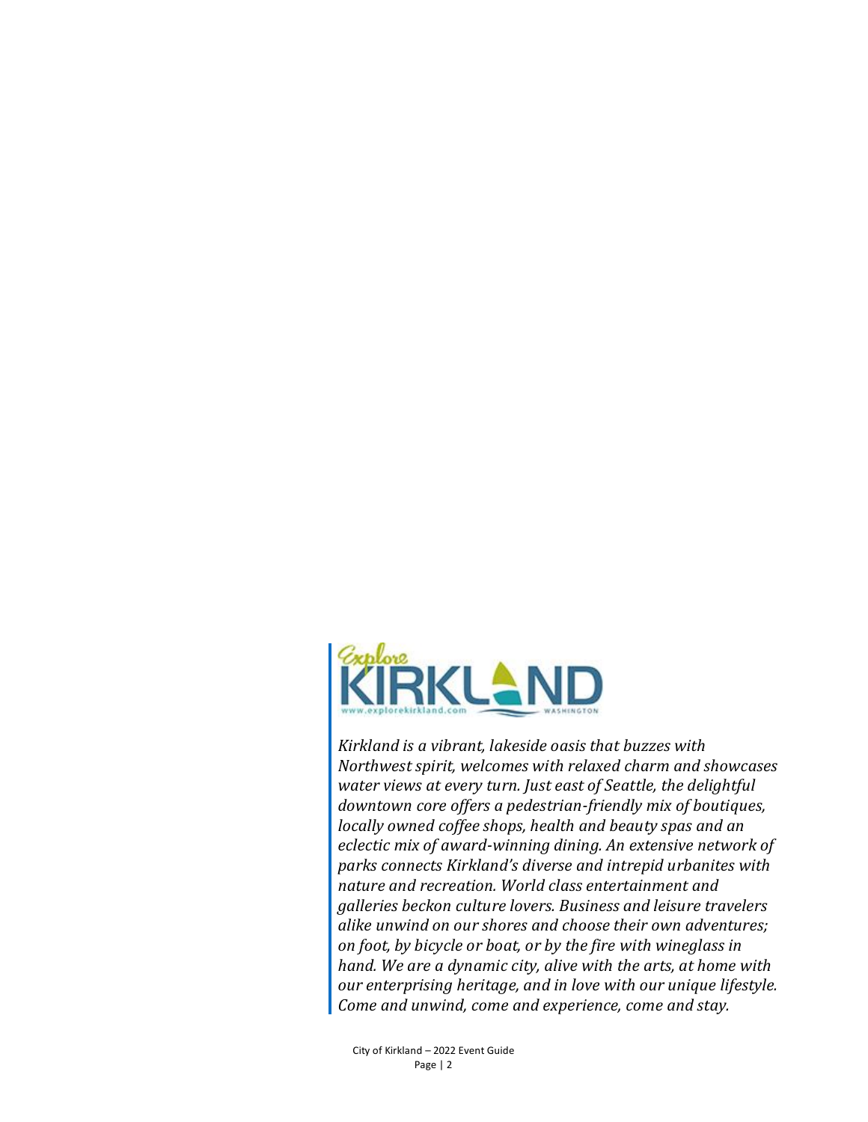

*Kirkland is a vibrant, lakeside oasis that buzzes with Northwest spirit, welcomes with relaxed charm and showcases water views at every turn. Just east of Seattle, the delightful downtown core offers a pedestrian-friendly mix of boutiques, locally owned coffee shops, health and beauty spas and an eclectic mix of award-winning dining. An extensive network of parks connects Kirkland's diverse and intrepid urbanites with nature and recreation. World class entertainment and galleries beckon culture lovers. Business and leisure travelers alike unwind on our shores and choose their own adventures; on foot, by bicycle or boat, or by the fire with wineglass in hand. We are a dynamic city, alive with the arts, at home with our enterprising heritage, and in love with our unique lifestyle. Come and unwind, come and experience, come and stay.*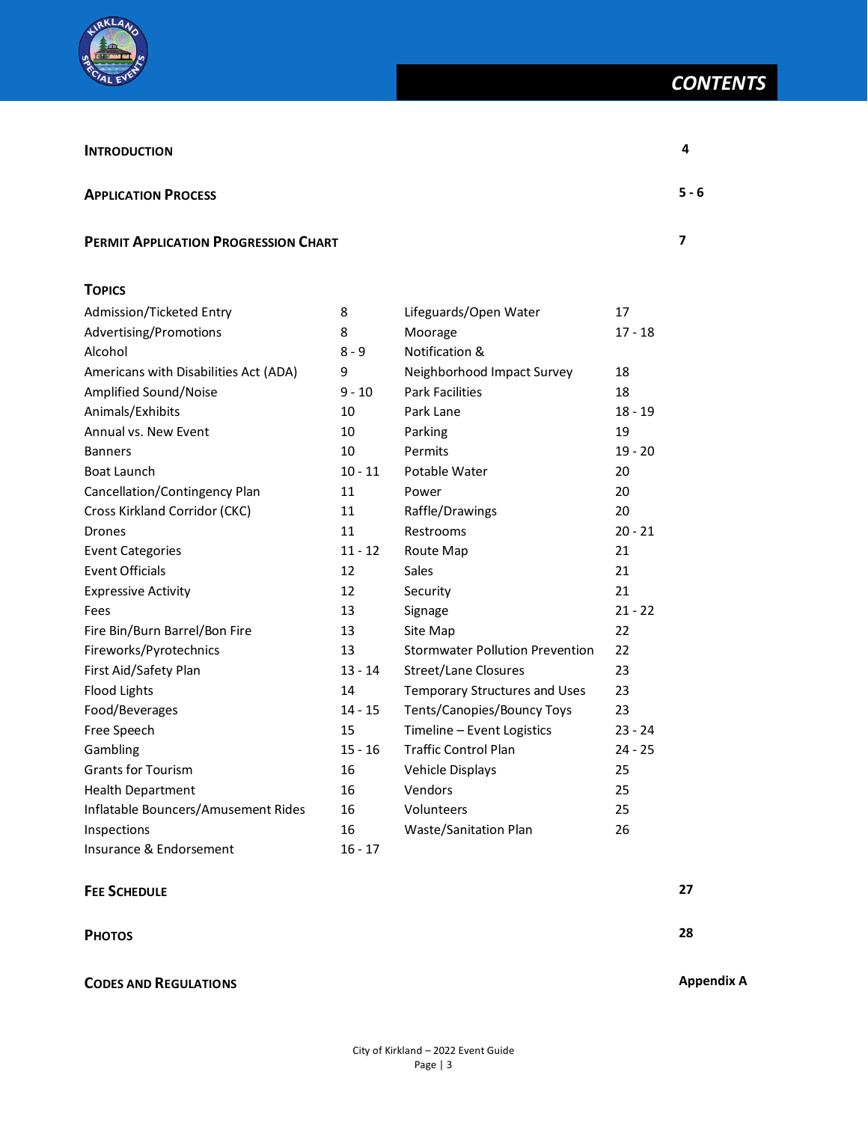

| <b>INTRODUCTION</b>                         |              |                            |           | 4       |
|---------------------------------------------|--------------|----------------------------|-----------|---------|
| <b>APPLICATION PROCESS</b>                  |              |                            |           | $5 - 6$ |
| <b>PERMIT APPLICATION PROGRESSION CHART</b> |              |                            |           |         |
| <b>TOPICS</b>                               |              |                            |           |         |
| Admission/Ticketed Entry                    | 8            | Lifeguards/Open Water      | 17        |         |
| Advertising/Promotions                      | 8            | Moorage                    | $17 - 18$ |         |
| Alcohol                                     | $8 - 9$      | <b>Notification &amp;</b>  |           |         |
| Americans with Disabilities Act (ADA)       | 9            | Neighborhood Impact Survey | 18        |         |
| Applified Cound (Naise                      | 10<br>$\sim$ | Dork Fooilition            | 10        |         |

| Advertising/Promotions                | 8         | Moorage                                | 17 - 18   |
|---------------------------------------|-----------|----------------------------------------|-----------|
| Alcohol                               | $8 - 9$   | Notification &                         |           |
| Americans with Disabilities Act (ADA) | 9         | Neighborhood Impact Survey             | 18        |
| Amplified Sound/Noise                 | $9 - 10$  | <b>Park Facilities</b>                 | 18        |
| Animals/Exhibits                      | 10        | Park Lane                              | $18 - 19$ |
| Annual vs. New Event                  | 10        | Parking                                | 19        |
| <b>Banners</b>                        | 10        | Permits                                | $19 - 20$ |
| <b>Boat Launch</b>                    | $10 - 11$ | Potable Water                          | 20        |
| Cancellation/Contingency Plan         | 11        | Power                                  | 20        |
| Cross Kirkland Corridor (CKC)         | 11        | Raffle/Drawings                        | 20        |
| <b>Drones</b>                         | 11        | Restrooms                              | $20 - 21$ |
| <b>Event Categories</b>               | $11 - 12$ | Route Map                              | 21        |
| <b>Event Officials</b>                | 12        | Sales                                  | 21        |
| <b>Expressive Activity</b>            | 12        | Security                               | 21        |
| Fees                                  | 13        | Signage                                | $21 - 22$ |
| Fire Bin/Burn Barrel/Bon Fire         | 13        | Site Map                               | 22        |
| Fireworks/Pyrotechnics                | 13        | <b>Stormwater Pollution Prevention</b> | 22        |
| First Aid/Safety Plan                 | $13 - 14$ | <b>Street/Lane Closures</b>            | 23        |
| <b>Flood Lights</b>                   | 14        | <b>Temporary Structures and Uses</b>   | 23        |
| Food/Beverages                        | $14 - 15$ | Tents/Canopies/Bouncy Toys             | 23        |
| Free Speech                           | 15        | Timeline - Event Logistics             | $23 - 24$ |
| Gambling                              | $15 - 16$ | <b>Traffic Control Plan</b>            | $24 - 25$ |
| <b>Grants for Tourism</b>             | 16        | Vehicle Displays                       | 25        |
| <b>Health Department</b>              | 16        | Vendors                                | 25        |
| Inflatable Bouncers/Amusement Rides   | 16        | Volunteers                             | 25        |
| Inspections                           | 16        | Waste/Sanitation Plan                  | 26        |
| Insurance & Endorsement               | $16 - 17$ |                                        |           |

## **FEE SCHEDULE 27**

**PHOTOS 28**

## **CODES AND REGULATIONS Appendix A**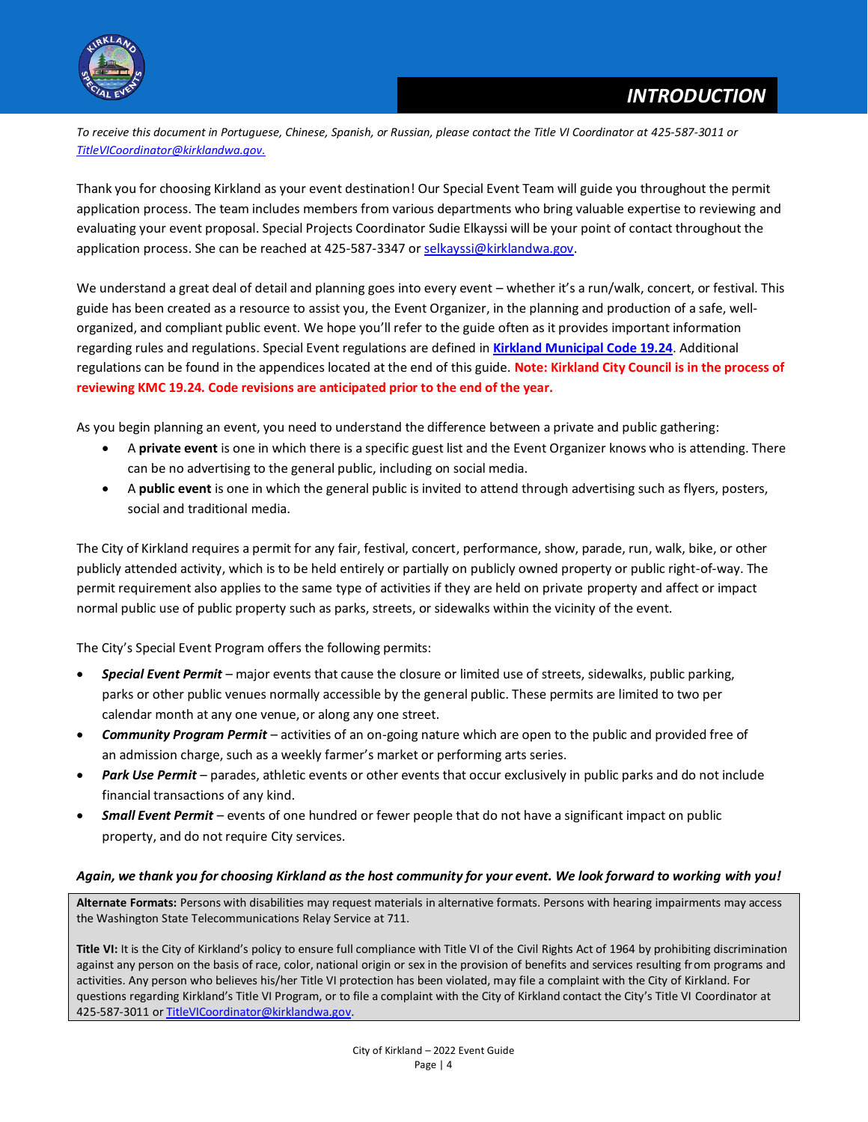

*To receive this document in Portuguese, Chinese, Spanish, or Russian, please contact the Title VI Coordinator at 425-587-3011 or [TitleVICoordinator@kirklandwa.gov.](mailto:TitleVICoordinator@kirklandwa.gov)*

Thank you for choosing Kirkland as your event destination! Our Special Event Team will guide you throughout the permit application process. The team includes members from various departments who bring valuable expertise to reviewing and evaluating your event proposal. Special Projects Coordinator Sudie Elkayssi will be your point of contact throughout the application process. She can be reached at 425-587-3347 o[r selkayssi@kirklandwa.gov.](mailto:selkayssi@kirklandwa.gov)

We understand a great deal of detail and planning goes into every event – whether it's a run/walk, concert, or festival. This guide has been created as a resource to assist you, the Event Organizer, in the planning and production of a safe, wellorganized, and compliant public event. We hope you'll refer to the guide often as it provides important information regarding rules and regulations. Special Event regulations are defined in **[Kirkland Municipal Code 19.24](https://www.codepublishing.com/WA/Kirkland/html/Kirkland19/Kirkland1924.html)**. Additional regulations can be found in the appendices located at the end of this guide. **Note: Kirkland City Council is in the process of reviewing KMC 19.24. Code revisions are anticipated prior to the end of the year.**

As you begin planning an event, you need to understand the difference between a private and public gathering:

- A **private event** is one in which there is a specific guest list and the Event Organizer knows who is attending. There can be no advertising to the general public, including on social media.
- A **public event** is one in which the general public is invited to attend through advertising such as flyers, posters, social and traditional media.

The City of Kirkland requires a permit for any fair, festival, concert, performance, show, parade, run, walk, bike, or other publicly attended activity, which is to be held entirely or partially on publicly owned property or public right-of-way. The permit requirement also applies to the same type of activities if they are held on private property and affect or impact normal public use of public property such as parks, streets, or sidewalks within the vicinity of the event.

The City's Special Event Program offers the following permits:

- *Special Event Permit* major events that cause the closure or limited use of streets, sidewalks, public parking, parks or other public venues normally accessible by the general public. These permits are limited to two per calendar month at any one venue, or along any one street.
- *Community Program Permit* activities of an on-going nature which are open to the public and provided free of an admission charge, such as a weekly farmer's market or performing arts series.
- *Park Use Permit* parades, athletic events or other events that occur exclusively in public parks and do not include financial transactions of any kind.
- *Small Event Permit* events of one hundred or fewer people that do not have a significant impact on public property, and do not require City services.

## *Again, we thank you for choosing Kirkland as the host community for your event. We look forward to working with you!*

**Alternate Formats:** Persons with disabilities may request materials in alternative formats. Persons with hearing impairments may access the Washington State Telecommunications Relay Service at 711.

Title VI: It is the City of Kirkland's policy to ensure full compliance with Title VI of the Civil Rights Act of 1964 by prohibiting discrimination against any person on the basis of race, color, national origin or sex in the provision of benefits and services resulting from programs and activities. Any person who believes his/her Title VI protection has been violated, may file a complaint with the City of Kirkland. For questions regarding Kirkland's Title VI Program, or to file a complaint with the City of Kirkland contact the City's Title VI Coordinator at 425-587-3011 o[r TitleVICoordinator@kirklandwa.gov.](mailto:TitleVICoordinator@kirklandwa.gov)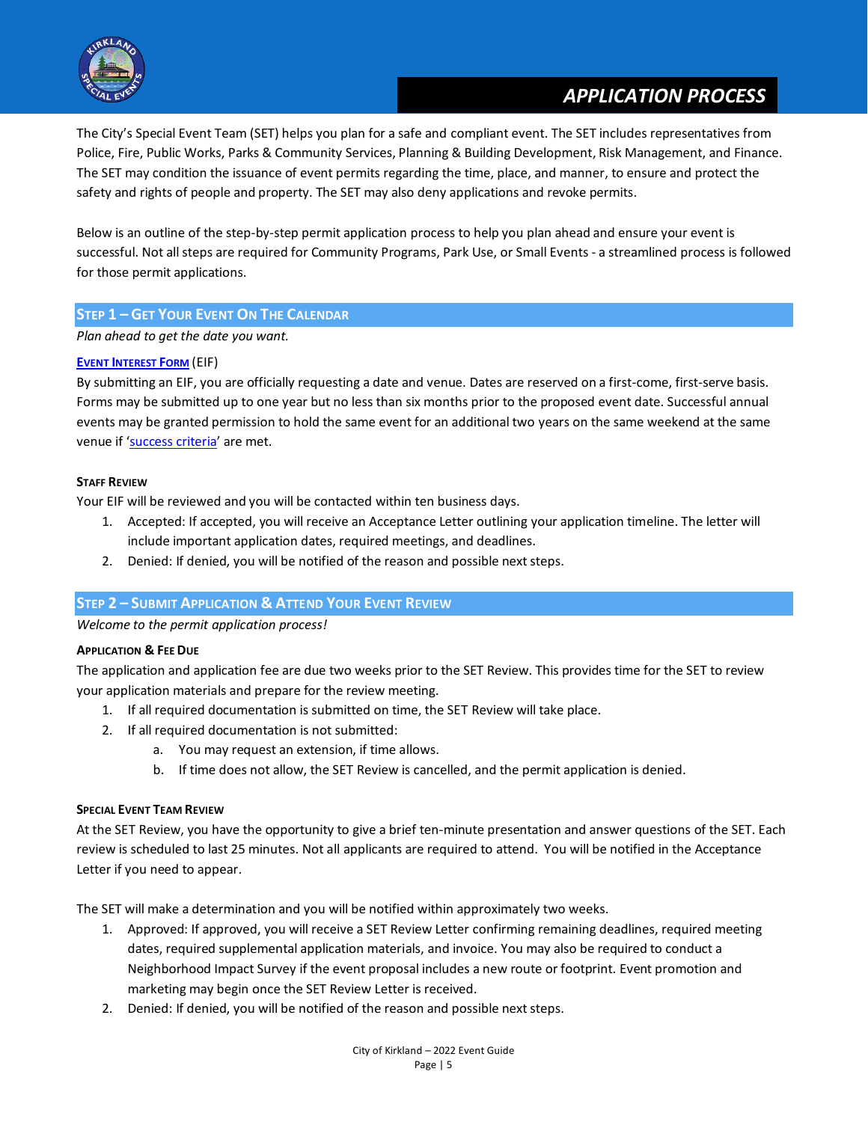

# **APPLICATION PROCESS**

The City's Special Event Team (SET) helps you plan for a safe and compliant event. The SET includes representatives from Police, Fire, Public Works, Parks & Community Services, Planning & Building Development, Risk Management, and Finance. The SET may condition the issuance of event permits regarding the time, place, and manner, to ensure and protect the safety and rights of people and property. The SET may also deny applications and revoke permits.

Below is an outline of the step-by-step permit application process to help you plan ahead and ensure your event is successful. Not all steps are required for Community Programs, Park Use, or Small Events - a streamlined process is followed for those permit applications.

## **STEP 1 – GET YOUR EVENT ON THE CALENDAR**

*Plan ahead to get the date you want.*

## **EVENT I[NTEREST](https://www.kirklandwa.gov/Government/Departments/Parks-and-Community-Services/Special-Event-Services/Special-Event-Permit/Event-Interest-Form) FORM** (EIF)

By submitting an EIF, you are officially requesting a date and venue. Dates are reserved on a first-come, first-serve basis. Forms may be submitted up to one year but no less than six months prior to the proposed event date. Successful annual events may be granted permission to hold the same event for an additional two years on the same weekend at the same venue if '[success criteria](https://www.codepublishing.com/WA/Kirkland/?Kirkland19/Kirkland1924.html#19.24.050)' are met.

#### **STAFF REVIEW**

Your EIF will be reviewed and you will be contacted within ten business days.

- 1. Accepted: If accepted, you will receive an Acceptance Letter outlining your application timeline. The letter will include important application dates, required meetings, and deadlines.
- 2. Denied: If denied, you will be notified of the reason and possible next steps.

## **STEP 2 – SUBMIT APPLICATION & ATTEND YOUR EVENT REVIEW**

*Welcome to the permit application process!*

#### **APPLICATION & FEE DUE**

The application and application fee are due two weeks prior to the SET Review. This provides time for the SET to review your application materials and prepare for the review meeting.

- 1. If all required documentation is submitted on time, the SET Review will take place.
- 2. If all required documentation is not submitted:
	- a. You may request an extension, if time allows.
	- b. If time does not allow, the SET Review is cancelled, and the permit application is denied.

#### **SPECIAL EVENT TEAM REVIEW**

At the SET Review, you have the opportunity to give a brief ten-minute presentation and answer questions of the SET. Each review is scheduled to last 25 minutes. Not all applicants are required to attend. You will be notified in the Acceptance Letter if you need to appear.

The SET will make a determination and you will be notified within approximately two weeks.

- 1. Approved: If approved, you will receive a SET Review Letter confirming remaining deadlines, required meeting dates, required supplemental application materials, and invoice. You may also be required to conduct a Neighborhood Impact Survey if the event proposal includes a new route or footprint. Event promotion and marketing may begin once the SET Review Letter is received.
- 2. Denied: If denied, you will be notified of the reason and possible next steps.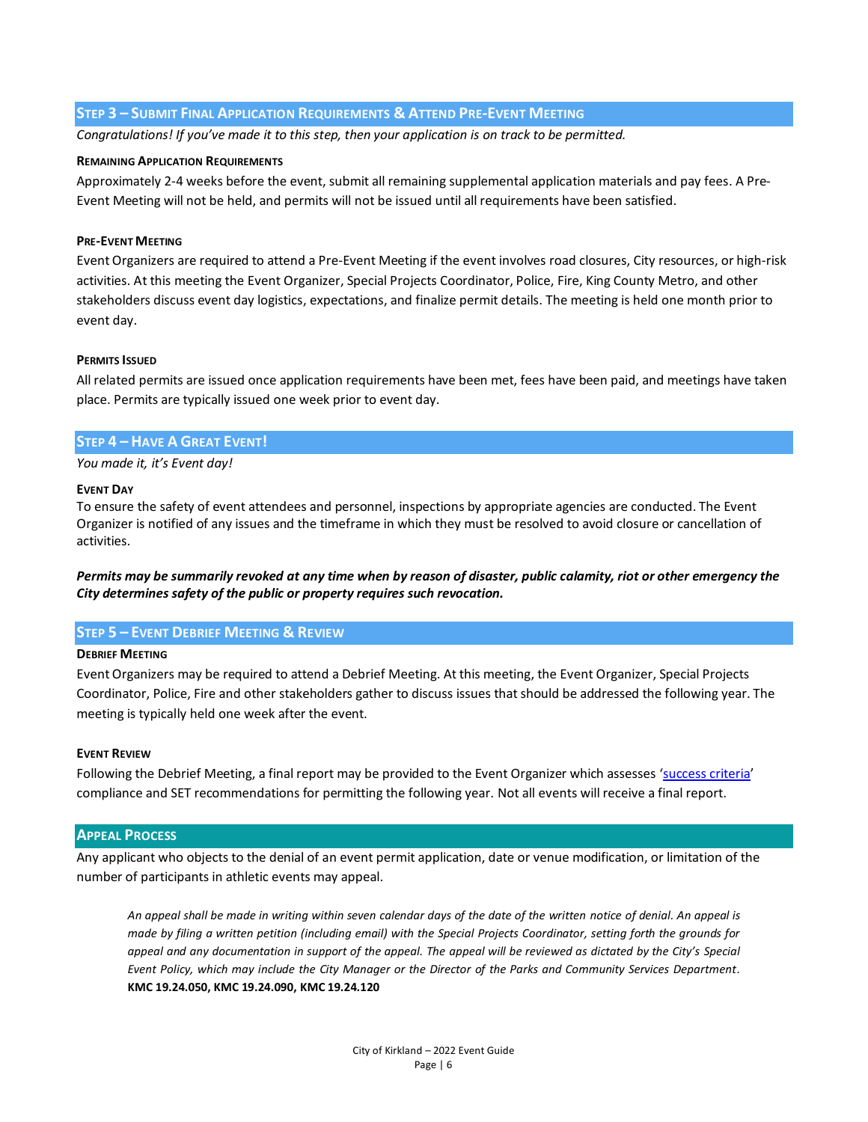#### **STEP 3 – SUBMIT FINAL APPLICATION REQUIREMENTS & ATTEND PRE-EVENT MEETING**

*Congratulations! If you've made it to this step, then your application is on track to be permitted.* 

#### **REMAINING APPLICATION REQUIREMENTS**

Approximately 2-4 weeks before the event, submit all remaining supplemental application materials and pay fees. A Pre-Event Meeting will not be held, and permits will not be issued until all requirements have been satisfied.

#### **PRE-EVENT MEETING**

Event Organizers are required to attend a Pre-Event Meeting if the event involves road closures, City resources, or high-risk activities. At this meeting the Event Organizer, Special Projects Coordinator, Police, Fire, King County Metro, and other stakeholders discuss event day logistics, expectations, and finalize permit details. The meeting is held one month prior to event day.

#### **PERMITS ISSUED**

All related permits are issued once application requirements have been met, fees have been paid, and meetings have taken place. Permits are typically issued one week prior to event day.

## **STEP 4 – HAVE A GREAT EVENT!**

*You made it, it's Event day!*

#### **EVENT DAY**

To ensure the safety of event attendees and personnel, inspections by appropriate agencies are conducted. The Event Organizer is notified of any issues and the timeframe in which they must be resolved to avoid closure or cancellation of activities.

*Permits may be summarily revoked at any time when by reason of disaster, public calamity, riot or other emergency the City determines safety of the public or property requires such revocation.* 

#### **STEP 5 – EVENT DEBRIEF MEETING & REVIEW**

#### **DEBRIEF MEETING**

Event Organizers may be required to attend a Debrief Meeting. At this meeting, the Event Organizer, Special Projects Coordinator, Police, Fire and other stakeholders gather to discuss issues that should be addressed the following year. The meeting is typically held one week after the event.

#### **EVENT REVIEW**

Following the Debrief Meeting, a final report may be provided to the Event Organizer which assesses '[success criteria](https://www.codepublishing.com/WA/Kirkland/?Kirkland19/Kirkland1924.html#19.24.050)' compliance and SET recommendations for permitting the following year. Not all events will receive a final report.

#### **APPEAL PROCESS**

Any applicant who objects to the denial of an event permit application, date or venue modification, or limitation of the number of participants in athletic events may appeal.

*An appeal shall be made in writing within seven calendar days of the date of the written notice of denial. An appeal is made by filing a written petition (including email) with the Special Projects Coordinator, setting forth the grounds for appeal and any documentation in support of the appeal. The appeal will be reviewed as dictated by the City's Special Event Policy, which may include the City Manager or the Director of the Parks and Community Services Department.* **KMC 19.24.050, KMC 19.24.090, KMC 19.24.120**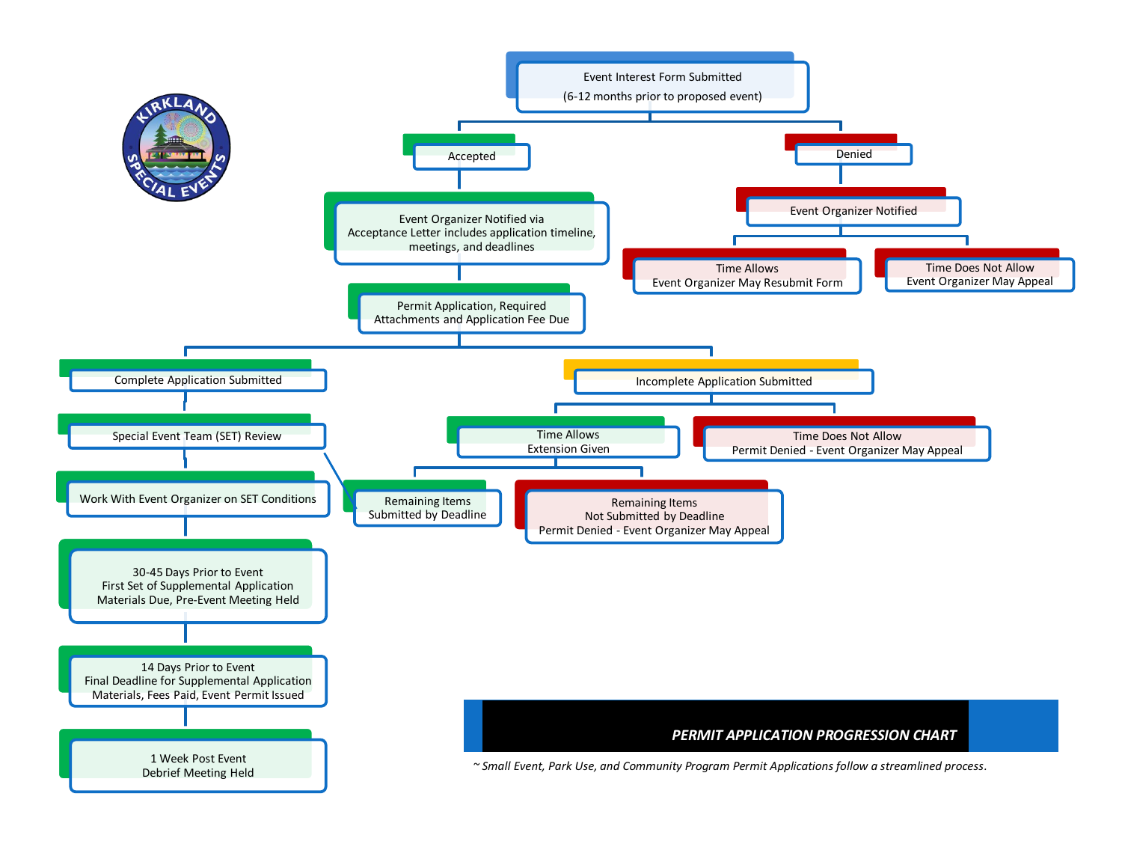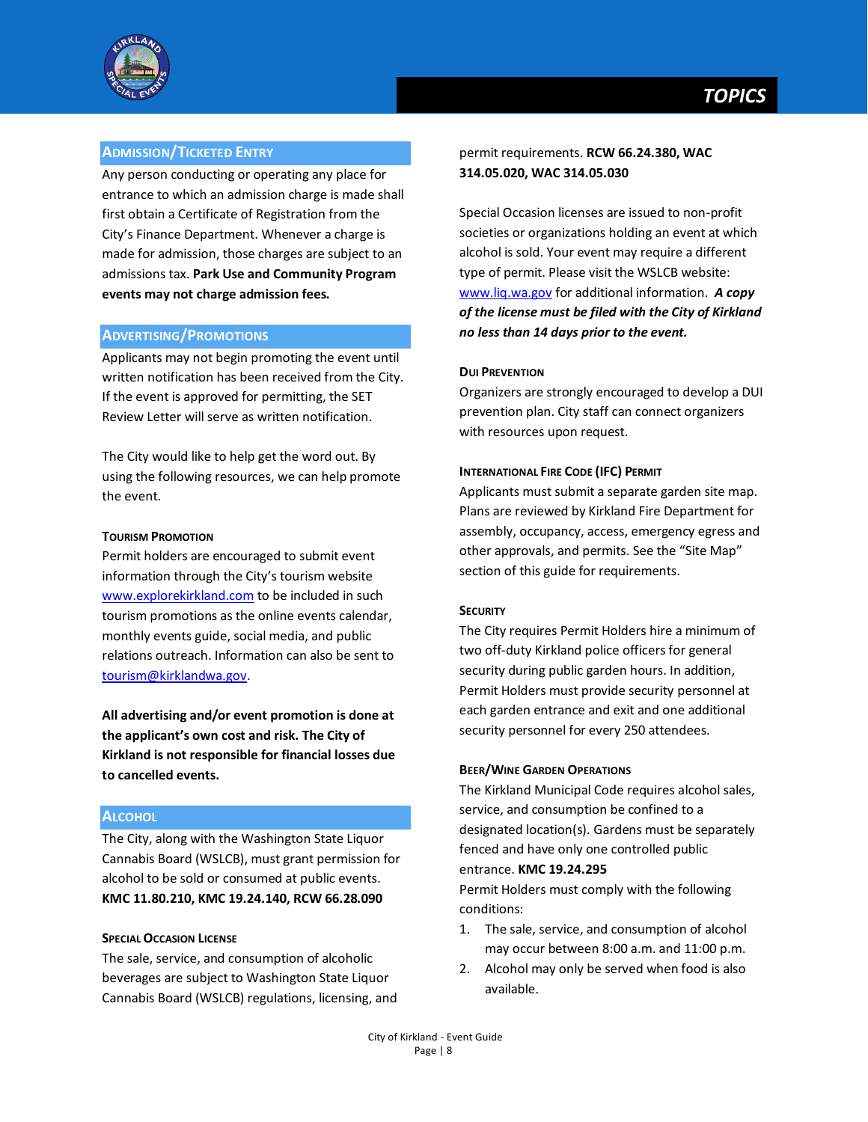

## **ADMISSION/TICKETED ENTRY**

Any person conducting or operating any place for entrance to which an admission charge is made shall first obtain a Certificate of Registration from the City's Finance Department. Whenever a charge is made for admission, those charges are subject to an admissions tax. **Park Use and Community Program events may not charge admission fees.** 

#### **ADVERTISING/PROMOTIONS**

Applicants may not begin promoting the event until written notification has been received from the City. If the event is approved for permitting, the SET Review Letter will serve as written notification.

The City would like to help get the word out. By using the following resources, we can help promote the event.

## **TOURISM PROMOTION**

Permit holders are encouraged to submit event information through the City's tourism website [www.explorekirkland.com](http://www.explorekirkland.com/) to be included in such tourism promotions as the online events calendar, monthly events guide, social media, and public relations outreach. Information can also be sent to [tourism@kirklandwa.gov.](mailto:tourism@kirklandwa.gov)

**All advertising and/or event promotion is done at the applicant's own cost and risk. The City of Kirkland is not responsible for financial losses due to cancelled events.**

## **ALCOHOL**

The City, along with the Washington State Liquor Cannabis Board (WSLCB), must grant permission for alcohol to be sold or consumed at public events. **KMC 11.80.210, KMC 19.24.140, RCW 66.28.090**

#### **SPECIAL OCCASION LICENSE**

The sale, service, and consumption of alcoholic beverages are subject to Washington State Liquor Cannabis Board (WSLCB) regulations, licensing, and Special Occasion licenses are issued to non-profit societies or organizations holding an event at which alcohol is sold. Your event may require a different type of permit. Please visit the WSLCB website: [www.liq.wa.gov](http://www.liq.wa.gov/) for additional information. *A copy of the license must be filed with the City of Kirkland no less than 14 days prior to the event.*

#### **DUI PREVENTION**

Organizers are strongly encouraged to develop a DUI prevention plan. City staff can connect organizers with resources upon request.

#### **INTERNATIONAL FIRE CODE (IFC) PERMIT**

Applicants must submit a separate garden site map. Plans are reviewed by Kirkland Fire Department for assembly, occupancy, access, emergency egress and other approvals, and permits. See the "Site Map" section of this guide for requirements.

#### **SECURITY**

The City requires Permit Holders hire a minimum of two off-duty Kirkland police officers for general security during public garden hours. In addition, Permit Holders must provide security personnel at each garden entrance and exit and one additional security personnel for every 250 attendees.

#### **BEER/WINE GARDEN OPERATIONS**

The Kirkland Municipal Code requires alcohol sales, service, and consumption be confined to a designated location(s). Gardens must be separately fenced and have only one controlled public entrance. **KMC 19.24.295**

Permit Holders must comply with the following conditions:

- 1. The sale, service, and consumption of alcohol may occur between 8:00 a.m. and 11:00 p.m.
- 2. Alcohol may only be served when food is also available.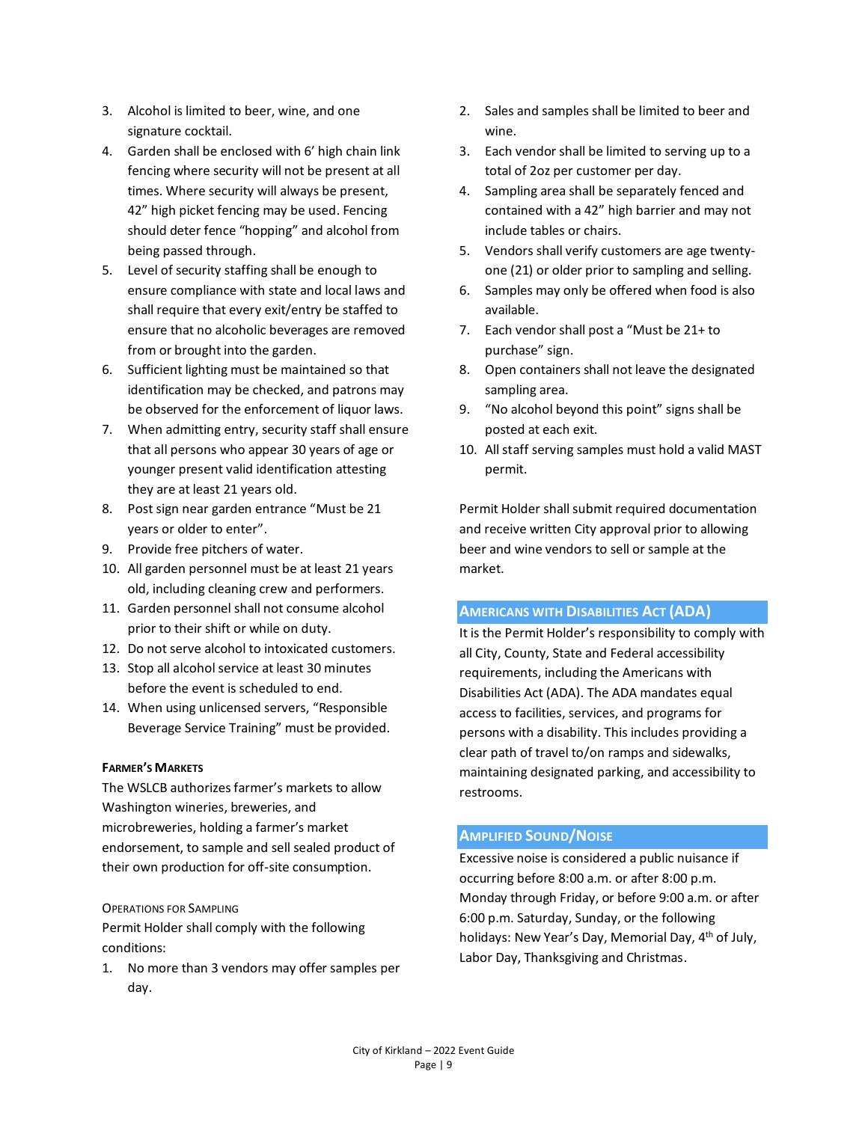- 3. Alcohol is limited to beer, wine, and one signature cocktail.
- 4. Garden shall be enclosed with 6' high chain link fencing where security will not be present at all times. Where security will always be present, 42" high picket fencing may be used. Fencing should deter fence "hopping" and alcohol from being passed through.
- 5. Level of security staffing shall be enough to ensure compliance with state and local laws and shall require that every exit/entry be staffed to ensure that no alcoholic beverages are removed from or brought into the garden.
- 6. Sufficient lighting must be maintained so that identification may be checked, and patrons may be observed for the enforcement of liquor laws.
- 7. When admitting entry, security staff shall ensure that all persons who appear 30 years of age or younger present valid identification attesting they are at least 21 years old.
- 8. Post sign near garden entrance "Must be 21 years or older to enter".
- 9. Provide free pitchers of water.
- 10. All garden personnel must be at least 21 years old, including cleaning crew and performers.
- 11. Garden personnel shall not consume alcohol prior to their shift or while on duty.
- 12. Do not serve alcohol to intoxicated customers.
- 13. Stop all alcohol service at least 30 minutes before the event is scheduled to end.
- 14. When using unlicensed servers, "Responsible Beverage Service Training" must be provided.

## **FARMER'S MARKETS**

The WSLCB authorizes farmer's markets to allow Washington wineries, breweries, and microbreweries, holding a farmer's market endorsement, to sample and sell sealed product of their own production for off-site consumption.

## OPERATIONS FOR SAMPLING

Permit Holder shall comply with the following conditions:

1. No more than 3 vendors may offer samples per day.

- 2. Sales and samples shall be limited to beer and wine.
- 3. Each vendor shall be limited to serving up to a total of 2oz per customer per day.
- 4. Sampling area shall be separately fenced and contained with a 42" high barrier and may not include tables or chairs.
- 5. Vendors shall verify customers are age twentyone (21) or older prior to sampling and selling.
- 6. Samples may only be offered when food is also available.
- 7. Each vendor shall post a "Must be 21+ to purchase" sign.
- 8. Open containers shall not leave the designated sampling area.
- 9. "No alcohol beyond this point" signs shall be posted at each exit.
- 10. All staff serving samples must hold a valid MAST permit.

Permit Holder shall submit required documentation and receive written City approval prior to allowing beer and wine vendors to sell or sample at the market.

## **AMERICANS WITH DISABILITIES ACT (ADA)**

It is the Permit Holder's responsibility to comply with all City, County, State and Federal accessibility requirements, including the Americans with Disabilities Act (ADA). The ADA mandates equal access to facilities, services, and programs for persons with a disability. This includes providing a clear path of travel to/on ramps and sidewalks, maintaining designated parking, and accessibility to restrooms.

## **AMPLIFIED SOUND/NOISE**

Excessive noise is considered a public nuisance if occurring before 8:00 a.m. or after 8:00 p.m. Monday through Friday, or before 9:00 a.m. or after 6:00 p.m. Saturday, Sunday, or the following holidays: New Year's Day, Memorial Day, 4<sup>th</sup> of July, Labor Day, Thanksgiving and Christmas.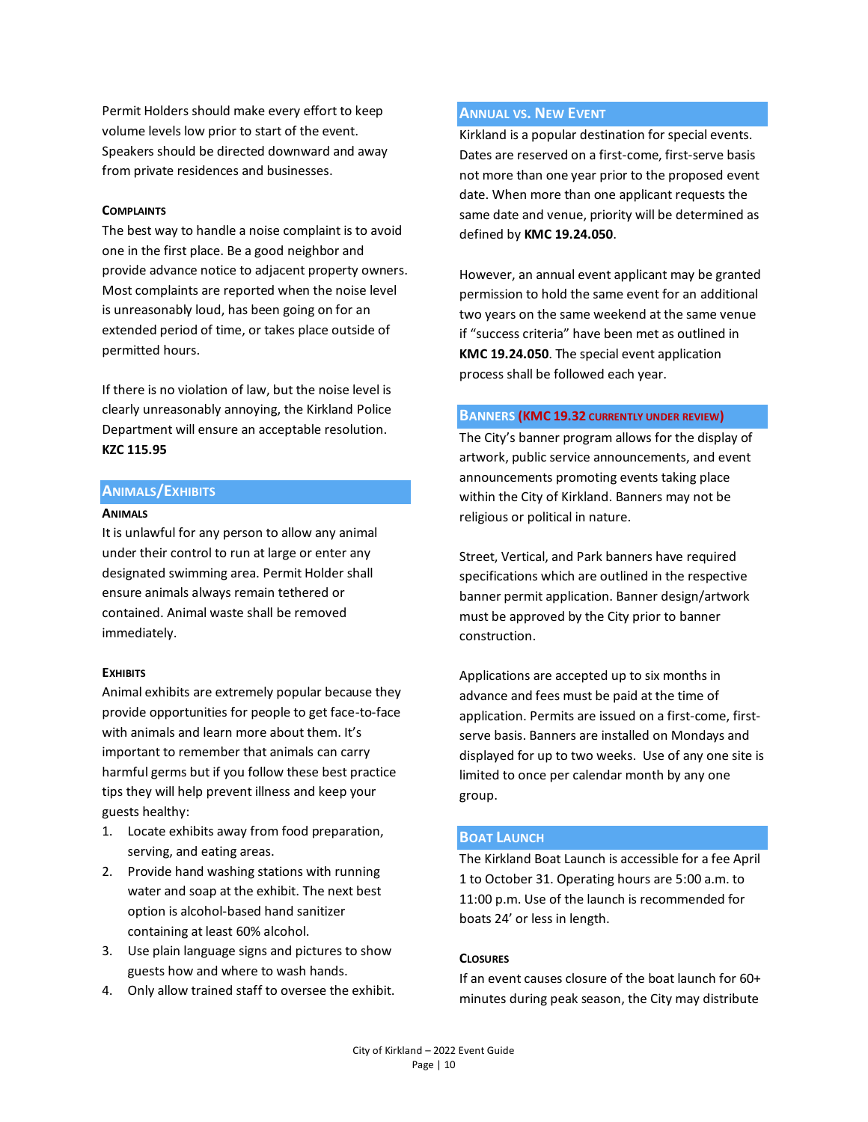Permit Holders should make every effort to keep volume levels low prior to start of the event. Speakers should be directed downward and away from private residences and businesses.

#### **COMPLAINTS**

The best way to handle a noise complaint is to avoid one in the first place. Be a good neighbor and provide advance notice to adjacent property owners. Most complaints are reported when the noise level is unreasonably loud, has been going on for an extended period of time, or takes place outside of permitted hours.

If there is no violation of law, but the noise level is clearly unreasonably annoying, the Kirkland Police Department will ensure an acceptable resolution. **KZC 115.95**

## **ANIMALS/EXHIBITS**

#### **ANIMALS**

It is unlawful for any person to allow any animal under their control to run at large or enter any designated swimming area. Permit Holder shall ensure animals always remain tethered or contained. Animal waste shall be removed immediately.

#### **EXHIBITS**

Animal exhibits are extremely popular because they provide opportunities for people to get face-to-face with animals and learn more about them. It's important to remember that animals can carry harmful germs but if you follow these best practice tips they will help prevent illness and keep your guests healthy:

- 1. Locate exhibits away from food preparation, serving, and eating areas.
- 2. Provide hand washing stations with running water and soap at the exhibit. The next best option is alcohol-based hand sanitizer containing at least 60% alcohol.
- 3. Use plain language signs and pictures to show guests how and where to wash hands.
- 4. Only allow trained staff to oversee the exhibit.

## **ANNUAL VS. NEW EVENT**

Kirkland is a popular destination for special events. Dates are reserved on a first-come, first-serve basis not more than one year prior to the proposed event date. When more than one applicant requests the same date and venue, priority will be determined as defined by **KMC 19.24.050**.

However, an annual event applicant may be granted permission to hold the same event for an additional two years on the same weekend at the same venue if "success criteria" have been met as outlined in **KMC 19.24.050**. The special event application process shall be followed each year.

## **BANNERS (KMC 19.32 CURRENTLY UNDER REVIEW)**

The City's banner program allows for the display of artwork, public service announcements, and event announcements promoting events taking place within the City of Kirkland. Banners may not be religious or political in nature.

Street, Vertical, and Park banners have required specifications which are outlined in the respective banner permit application. Banner design/artwork must be approved by the City prior to banner construction.

Applications are accepted up to six months in advance and fees must be paid at the time of application. Permits are issued on a first-come, firstserve basis. Banners are installed on Mondays and displayed for up to two weeks. Use of any one site is limited to once per calendar month by any one group.

#### **BOAT LAUNCH**

The Kirkland Boat Launch is accessible for a fee April 1 to October 31. Operating hours are 5:00 a.m. to 11:00 p.m. Use of the launch is recommended for boats 24' or less in length.

## **CLOSURES**

If an event causes closure of the boat launch for 60+ minutes during peak season, the City may distribute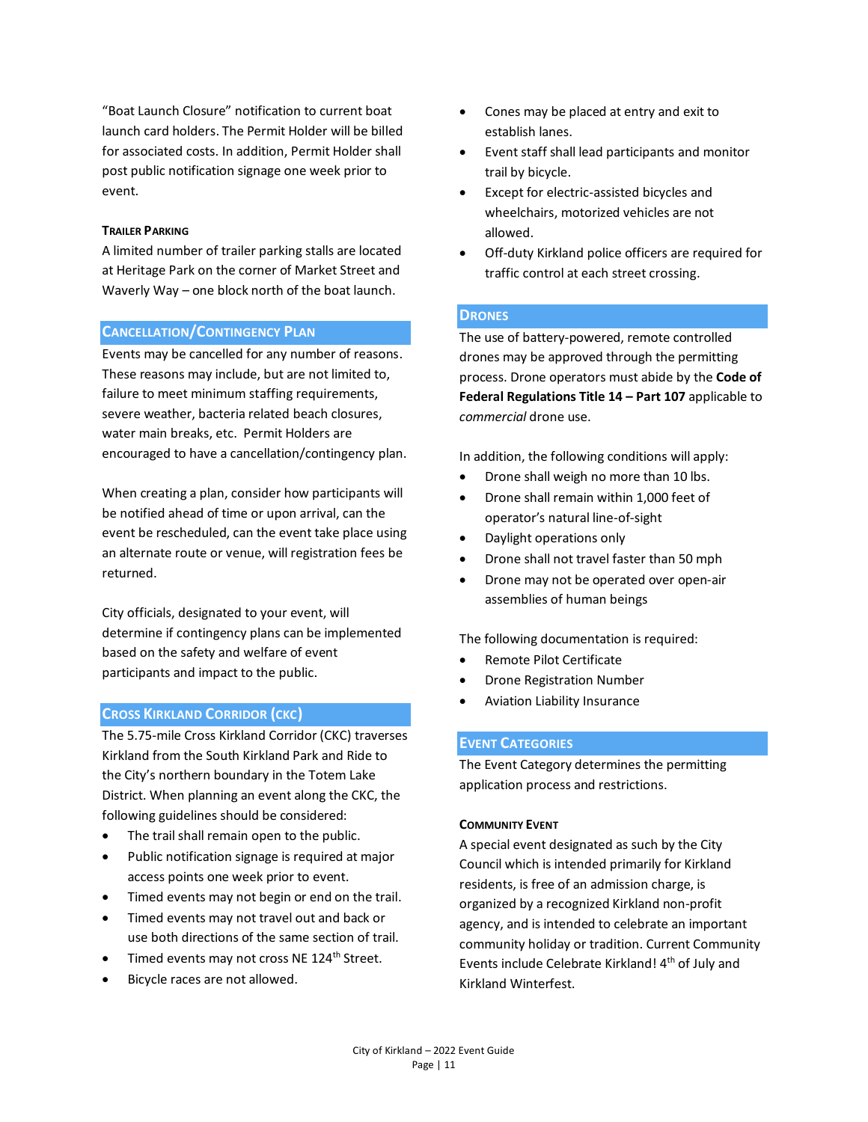"Boat Launch Closure" notification to current boat launch card holders. The Permit Holder will be billed for associated costs. In addition, Permit Holder shall post public notification signage one week prior to event.

#### **TRAILER PARKING**

A limited number of trailer parking stalls are located at Heritage Park on the corner of Market Street and Waverly Way – one block north of the boat launch.

## **CANCELLATION/CONTINGENCY PLAN**

Events may be cancelled for any number of reasons. These reasons may include, but are not limited to, failure to meet minimum staffing requirements, severe weather, bacteria related beach closures, water main breaks, etc. Permit Holders are encouraged to have a cancellation/contingency plan.

When creating a plan, consider how participants will be notified ahead of time or upon arrival, can the event be rescheduled, can the event take place using an alternate route or venue, will registration fees be returned.

City officials, designated to your event, will determine if contingency plans can be implemented based on the safety and welfare of event participants and impact to the public.

## **CROSS KIRKLAND CORRIDOR (CKC)**

The 5.75-mile Cross Kirkland Corridor (CKC) traverses Kirkland from the South Kirkland Park and Ride to the City's northern boundary in the Totem Lake District. When planning an event along the CKC, the following guidelines should be considered:

- The trail shall remain open to the public.
- Public notification signage is required at major access points one week prior to event.
- Timed events may not begin or end on the trail.
- Timed events may not travel out and back or use both directions of the same section of trail.
- Timed events may not cross NE 124<sup>th</sup> Street.
- Bicycle races are not allowed.
- Cones may be placed at entry and exit to establish lanes.
- Event staff shall lead participants and monitor trail by bicycle.
- Except for electric-assisted bicycles and wheelchairs, motorized vehicles are not allowed.
- Off-duty Kirkland police officers are required for traffic control at each street crossing.

## **DRONES**

The use of battery-powered, remote controlled drones may be approved through the permitting process. Drone operators must abide by the **Code of Federal Regulations Title 14 – Part 107** applicable to *commercial* drone use.

In addition, the following conditions will apply:

- Drone shall weigh no more than 10 lbs.
- Drone shall remain within 1,000 feet of operator's natural line-of-sight
- Daylight operations only
- Drone shall not travel faster than 50 mph
- Drone may not be operated over open-air assemblies of human beings

The following documentation is required:

- Remote Pilot Certificate
- Drone Registration Number
- Aviation Liability Insurance

## **EVENT CATEGORIES**

The Event Category determines the permitting application process and restrictions.

#### **COMMUNITY EVENT**

A special event designated as such by the City Council which is intended primarily for Kirkland residents, is free of an admission charge, is organized by a recognized Kirkland non-profit agency, and is intended to celebrate an important community holiday or tradition. Current Community Events include Celebrate Kirkland! 4<sup>th</sup> of July and Kirkland Winterfest.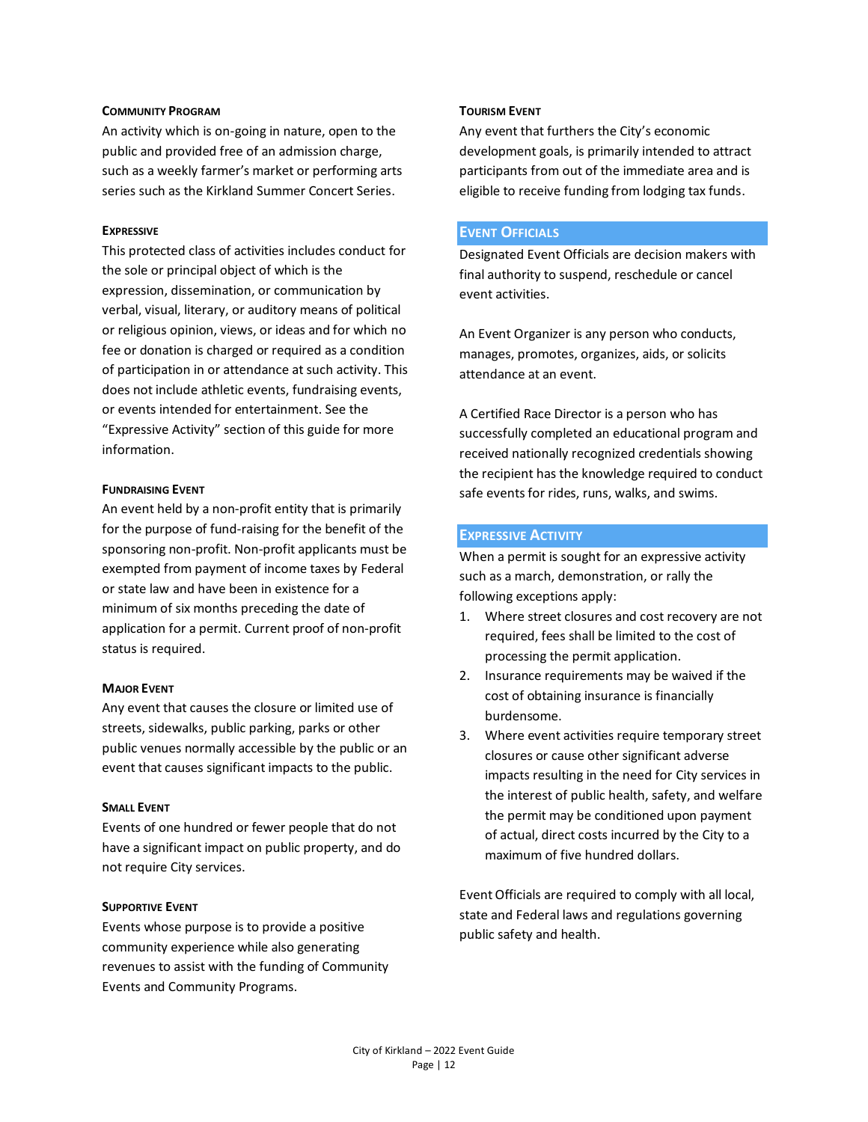#### **COMMUNITY PROGRAM**

An activity which is on-going in nature, open to the public and provided free of an admission charge, such as a weekly farmer's market or performing arts series such as the Kirkland Summer Concert Series.

#### **EXPRESSIVE**

This protected class of activities includes conduct for the sole or principal object of which is the expression, dissemination, or communication by verbal, visual, literary, or auditory means of political or religious opinion, views, or ideas and for which no fee or donation is charged or required as a condition of participation in or attendance at such activity. This does not include athletic events, fundraising events, or events intended for entertainment. See the "Expressive Activity" section of this guide for more information.

#### **FUNDRAISING EVENT**

An event held by a non-profit entity that is primarily for the purpose of fund-raising for the benefit of the sponsoring non-profit. Non-profit applicants must be exempted from payment of income taxes by Federal or state law and have been in existence for a minimum of six months preceding the date of application for a permit. Current proof of non-profit status is required.

#### **MAJOR EVENT**

Any event that causes the closure or limited use of streets, sidewalks, public parking, parks or other public venues normally accessible by the public or an event that causes significant impacts to the public.

#### **SMALL EVENT**

Events of one hundred or fewer people that do not have a significant impact on public property, and do not require City services.

#### **SUPPORTIVE EVENT**

Events whose purpose is to provide a positive community experience while also generating revenues to assist with the funding of Community Events and Community Programs.

#### **TOURISM EVENT**

Any event that furthers the City's economic development goals, is primarily intended to attract participants from out of the immediate area and is eligible to receive funding from lodging tax funds.

#### **EVENT OFFICIALS**

Designated Event Officials are decision makers with final authority to suspend, reschedule or cancel event activities.

An Event Organizer is any person who conducts, manages, promotes, organizes, aids, or solicits attendance at an event.

A Certified Race Director is a person who has successfully completed an educational program and received nationally recognized credentials showing the recipient has the knowledge required to conduct safe events for rides, runs, walks, and swims.

#### **EXPRESSIVE ACTIVITY**

When a permit is sought for an expressive activity such as a march, demonstration, or rally the following exceptions apply:

- 1. Where street closures and cost recovery are not required, fees shall be limited to the cost of processing the permit application.
- 2. Insurance requirements may be waived if the cost of obtaining insurance is financially burdensome.
- 3. Where event activities require temporary street closures or cause other significant adverse impacts resulting in the need for City services in the interest of public health, safety, and welfare the permit may be conditioned upon payment of actual, direct costs incurred by the City to a maximum of five hundred dollars.

Event Officials are required to comply with all local, state and Federal laws and regulations governing public safety and health.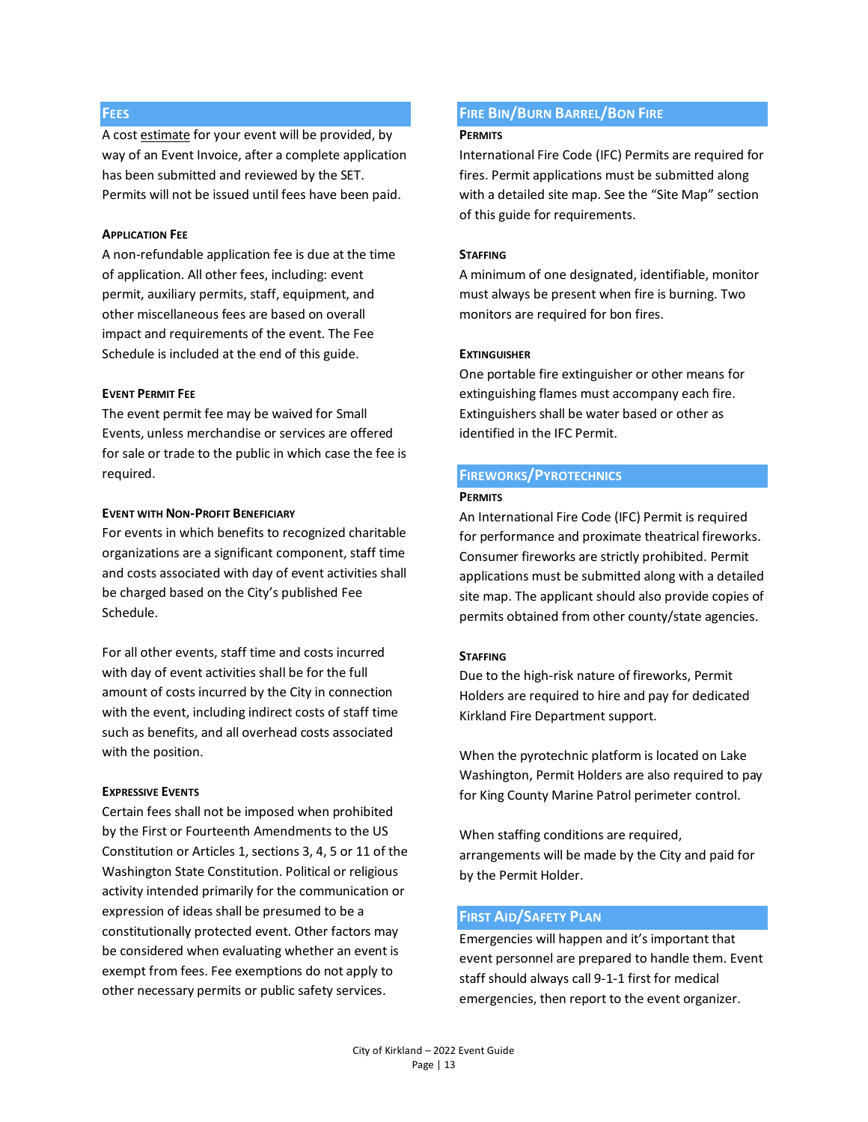## **FEES**

A cost estimate for your event will be provided, by way of an Event Invoice, after a complete application has been submitted and reviewed by the SET. Permits will not be issued until fees have been paid.

#### **APPLICATION FEE**

A non-refundable application fee is due at the time of application. All other fees, including: event permit, auxiliary permits, staff, equipment, and other miscellaneous fees are based on overall impact and requirements of the event. The Fee Schedule is included at the end of this guide.

#### **EVENT PERMIT FEE**

The event permit fee may be waived for Small Events, unless merchandise or services are offered for sale or trade to the public in which case the fee is required.

## **EVENT WITH NON-PROFIT BENEFICIARY**

For events in which benefits to recognized charitable organizations are a significant component, staff time and costs associated with day of event activities shall be charged based on the City's published Fee Schedule.

For all other events, staff time and costs incurred with day of event activities shall be for the full amount of costs incurred by the City in connection with the event, including indirect costs of staff time such as benefits, and all overhead costs associated with the position.

#### **EXPRESSIVE EVENTS**

Certain fees shall not be imposed when prohibited by the First or Fourteenth Amendments to the US Constitution or Articles 1, sections 3, 4, 5 or 11 of the Washington State Constitution. Political or religious activity intended primarily for the communication or expression of ideas shall be presumed to be a constitutionally protected event. Other factors may be considered when evaluating whether an event is exempt from fees. Fee exemptions do not apply to other necessary permits or public safety services.

## **FIRE BIN/BURN BARREL/BON FIRE**

#### **PERMITS**

International Fire Code (IFC) Permits are required for fires. Permit applications must be submitted along with a detailed site map. See the "Site Map" section of this guide for requirements.

#### **STAFFING**

A minimum of one designated, identifiable, monitor must always be present when fire is burning. Two monitors are required for bon fires.

#### **EXTINGUISHER**

One portable fire extinguisher or other means for extinguishing flames must accompany each fire. Extinguishers shall be water based or other as identified in the IFC Permit.

## **FIREWORKS/PYROTECHNICS**

#### **PERMITS**

An International Fire Code (IFC) Permit is required for performance and proximate theatrical fireworks. Consumer fireworks are strictly prohibited. Permit applications must be submitted along with a detailed site map. The applicant should also provide copies of permits obtained from other county/state agencies.

#### **STAFFING**

Due to the high-risk nature of fireworks, Permit Holders are required to hire and pay for dedicated Kirkland Fire Department support.

When the pyrotechnic platform is located on Lake Washington, Permit Holders are also required to pay for King County Marine Patrol perimeter control.

When staffing conditions are required, arrangements will be made by the City and paid for by the Permit Holder.

#### **FIRST AID/SAFETY PLAN**

Emergencies will happen and it's important that event personnel are prepared to handle them. Event staff should always call 9-1-1 first for medical emergencies, then report to the event organizer.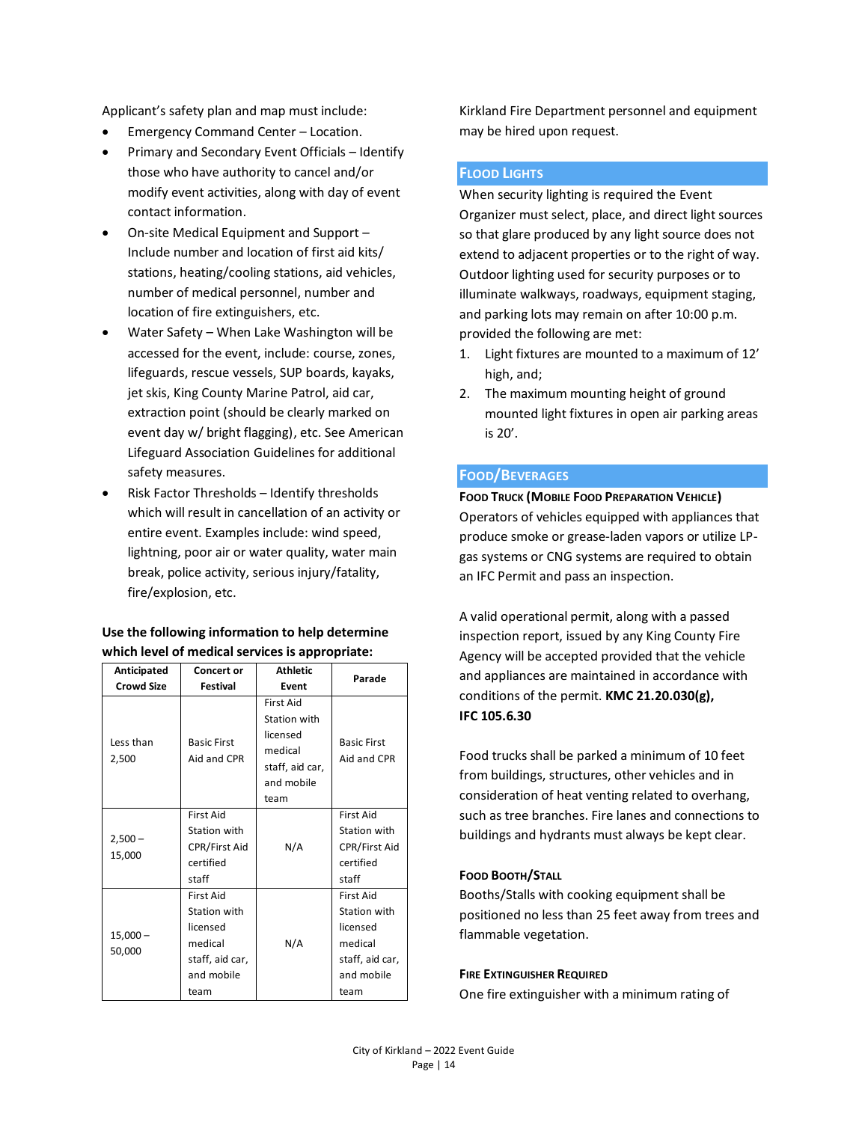Applicant's safety plan and map must include:

- Emergency Command Center Location.
- Primary and Secondary Event Officials Identify those who have authority to cancel and/or modify event activities, along with day of event contact information.
- On-site Medical Equipment and Support Include number and location of first aid kits/ stations, heating/cooling stations, aid vehicles, number of medical personnel, number and location of fire extinguishers, etc.
- Water Safety When Lake Washington will be accessed for the event, include: course, zones, lifeguards, rescue vessels, SUP boards, kayaks, jet skis, King County Marine Patrol, aid car, extraction point (should be clearly marked on event day w/ bright flagging), etc. See American Lifeguard Association Guidelines for additional safety measures.
- Risk Factor Thresholds Identify thresholds which will result in cancellation of an activity or entire event. Examples include: wind speed, lightning, poor air or water quality, water main break, police activity, serious injury/fatality, fire/explosion, etc.

## **Use the following information to help determine which level of medical services is appropriate:**

| Anticipated          | Concert or                                                                                       | <b>Athletic</b>                                                                           | Parade                                                                                           |
|----------------------|--------------------------------------------------------------------------------------------------|-------------------------------------------------------------------------------------------|--------------------------------------------------------------------------------------------------|
| <b>Crowd Size</b>    | <b>Festival</b>                                                                                  | Event                                                                                     |                                                                                                  |
| Less than<br>2,500   | <b>Basic First</b><br>Aid and CPR                                                                | First Aid<br>Station with<br>licensed<br>medical<br>staff, aid car,<br>and mobile<br>team | <b>Basic First</b><br>Aid and CPR                                                                |
| $2,500 -$<br>15,000  | <b>First Aid</b><br>Station with<br><b>CPR/First Aid</b><br>certified<br>staff                   | N/A                                                                                       | <b>First Aid</b><br>Station with<br><b>CPR/First Aid</b><br>certified<br>staff                   |
| $15,000 -$<br>50,000 | <b>First Aid</b><br>Station with<br>licensed<br>medical<br>staff, aid car,<br>and mobile<br>team | N/A                                                                                       | <b>First Aid</b><br>Station with<br>licensed<br>medical<br>staff, aid car,<br>and mobile<br>team |

Kirkland Fire Department personnel and equipment may be hired upon request.

## **FLOOD LIGHTS**

When security lighting is required the Event Organizer must select, place, and direct light sources so that glare produced by any light source does not extend to adjacent properties or to the right of way. Outdoor lighting used for security purposes or to illuminate walkways, roadways, equipment staging, and parking lots may remain on after 10:00 p.m. provided the following are met:

- 1. Light fixtures are mounted to a maximum of 12' high, and;
- 2. The maximum mounting height of ground mounted light fixtures in open air parking areas is 20'.

## **FOOD/BEVERAGES**

**FOOD TRUCK (MOBILE FOOD PREPARATION VEHICLE)** Operators of vehicles equipped with appliances that produce smoke or grease-laden vapors or utilize LPgas systems or CNG systems are required to obtain an IFC Permit and pass an inspection.

A valid operational permit, along with a passed inspection report, issued by any King County Fire Agency will be accepted provided that the vehicle and appliances are maintained in accordance with conditions of the permit. **KMC 21.20.030(g), IFC 105.6.30**

Food trucks shall be parked a minimum of 10 feet from buildings, structures, other vehicles and in consideration of heat venting related to overhang, such as tree branches. Fire lanes and connections to buildings and hydrants must always be kept clear.

## **FOOD BOOTH/STALL**

Booths/Stalls with cooking equipment shall be positioned no less than 25 feet away from trees and flammable vegetation.

#### **FIRE EXTINGUISHER REQUIRED**

One fire extinguisher with a minimum rating of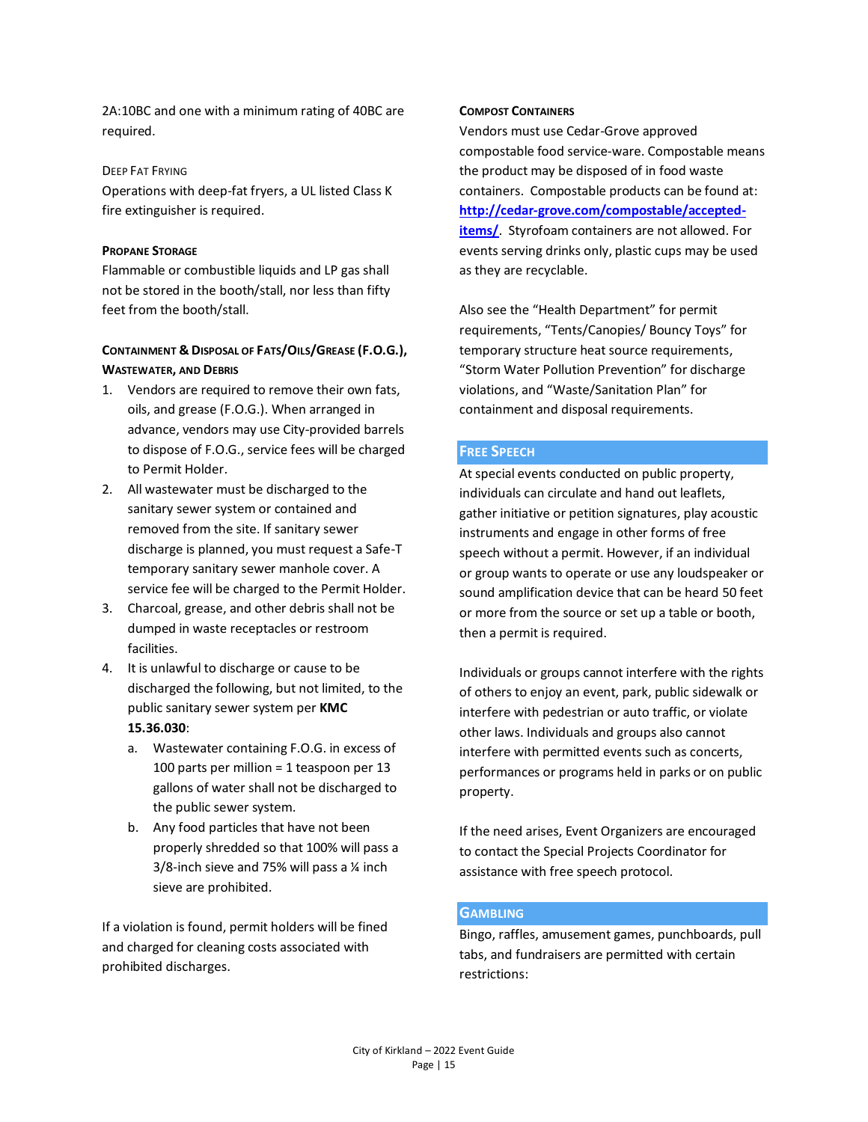2A:10BC and one with a minimum rating of 40BC are required.

## DEEP FAT FRYING

Operations with deep-fat fryers, a UL listed Class K fire extinguisher is required.

#### **PROPANE STORAGE**

Flammable or combustible liquids and LP gas shall not be stored in the booth/stall, nor less than fifty feet from the booth/stall.

## **CONTAINMENT & DISPOSAL OF FATS/OILS/GREASE (F.O.G.), WASTEWATER, AND DEBRIS**

- 1. Vendors are required to remove their own fats, oils, and grease (F.O.G.). When arranged in advance, vendors may use City-provided barrels to dispose of F.O.G., service fees will be charged to Permit Holder.
- 2. All wastewater must be discharged to the sanitary sewer system or contained and removed from the site. If sanitary sewer discharge is planned, you must request a Safe-T temporary sanitary sewer manhole cover. A service fee will be charged to the Permit Holder.
- 3. Charcoal, grease, and other debris shall not be dumped in waste receptacles or restroom facilities.
- 4. It is unlawful to discharge or cause to be discharged the following, but not limited, to the public sanitary sewer system per **KMC 15.36.030**:
	- a. Wastewater containing F.O.G. in excess of 100 parts per million = 1 teaspoon per 13 gallons of water shall not be discharged to the public sewer system.
	- b. Any food particles that have not been properly shredded so that 100% will pass a  $3/8$ -inch sieve and 75% will pass a  $\frac{1}{4}$  inch sieve are prohibited.

If a violation is found, permit holders will be fined and charged for cleaning costs associated with prohibited discharges.

#### **COMPOST CONTAINERS**

Vendors must use Cedar-Grove approved compostable food service-ware. Compostable means the product may be disposed of in food waste containers. Compostable products can be found at: **[http://cedar-grove.com/compostable/accepted](http://cedar-grove.com/compostable/accepted-items/)[items/](http://cedar-grove.com/compostable/accepted-items/)**. Styrofoam containers are not allowed. For events serving drinks only, plastic cups may be used as they are recyclable.

Also see the "Health Department" for permit requirements, "Tents/Canopies/ Bouncy Toys" for temporary structure heat source requirements, "Storm Water Pollution Prevention" for discharge violations, and "Waste/Sanitation Plan" for containment and disposal requirements.

## **FREE SPEECH**

At special events conducted on public property, individuals can circulate and hand out leaflets, gather initiative or petition signatures, play acoustic instruments and engage in other forms of free speech without a permit. However, if an individual or group wants to operate or use any loudspeaker or sound amplification device that can be heard 50 feet or more from the source or set up a table or booth, then a permit is required.

Individuals or groups cannot interfere with the rights of others to enjoy an event, park, public sidewalk or interfere with pedestrian or auto traffic, or violate other laws. Individuals and groups also cannot interfere with permitted events such as concerts, performances or programs held in parks or on public property.

If the need arises, Event Organizers are encouraged to contact the Special Projects Coordinator for assistance with free speech protocol.

## **GAMBLING**

Bingo, raffles, amusement games, punchboards, pull tabs, and fundraisers are permitted with certain restrictions: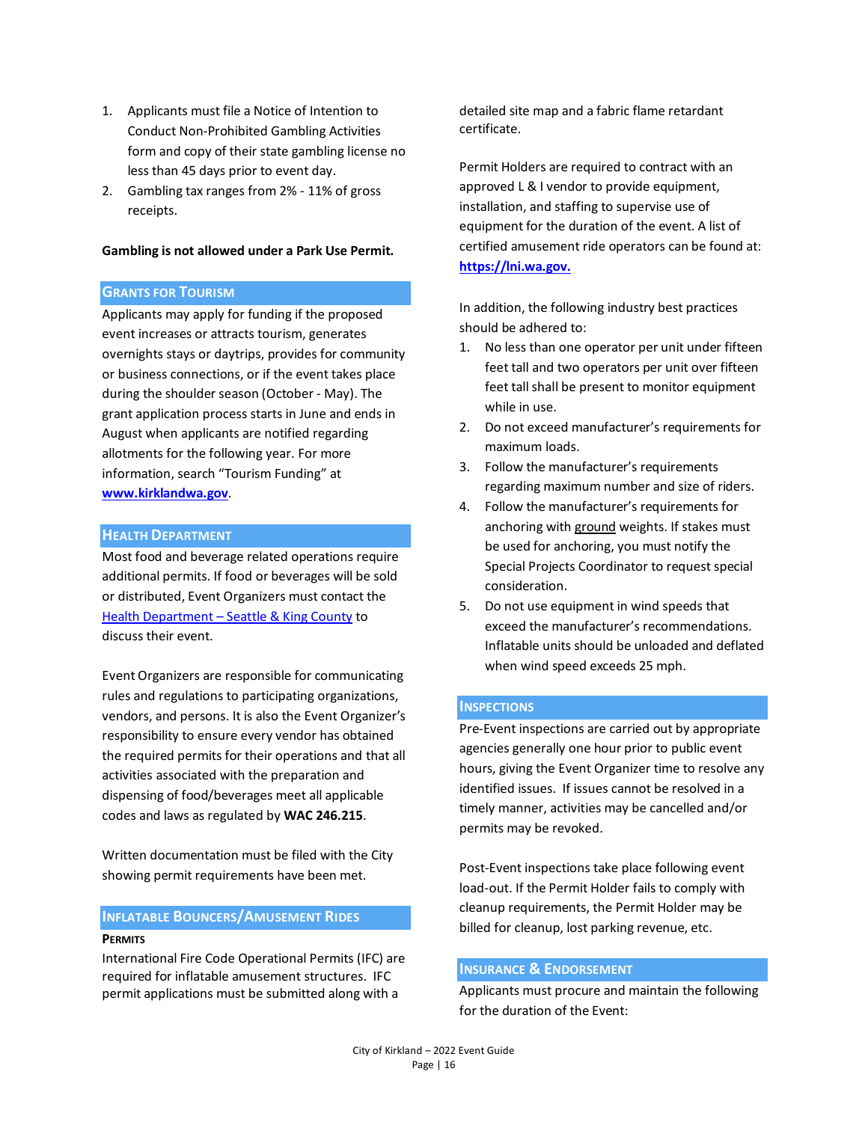- 1. Applicants must file a Notice of Intention to Conduct Non-Prohibited Gambling Activities form and copy of their state gambling license no less than 45 days prior to event day.
- 2. Gambling tax ranges from 2% 11% of gross receipts.

#### **Gambling is not allowed under a Park Use Permit.**

## **GRANTS FOR TOURISM**

Applicants may apply for funding if the proposed event increases or attracts tourism, generates overnights stays or daytrips, provides for community or business connections, or if the event takes place during the shoulder season (October - May). The grant application process starts in June and ends in August when applicants are notified regarding allotments for the following year. For more information, search "Tourism Funding" at **[www.kirklandwa.gov](http://www.kirklandwa.gov/)**.

#### **HEALTH DEPARTMENT**

Most food and beverage related operations require additional permits. If food or beverages will be sold or distributed, Event Organizers must contact the Health Department - [Seattle & King County](https://kingcounty.gov/depts/health.aspx) to discuss their event.

Event Organizers are responsible for communicating rules and regulations to participating organizations, vendors, and persons. It is also the Event Organizer's responsibility to ensure every vendor has obtained the required permits for their operations and that all activities associated with the preparation and dispensing of food/beverages meet all applicable codes and laws as regulated by **WAC 246.215**.

Written documentation must be filed with the City showing permit requirements have been met.

## **INFLATABLE BOUNCERS/AMUSEMENT RIDES PERMITS**

International Fire Code Operational Permits (IFC) are required for inflatable amusement structures. IFC permit applications must be submitted along with a

detailed site map and a fabric flame retardant certificate.

Permit Holders are required to contract with an approved L & I vendor to provide equipment, installation, and staffing to supervise use of equipment for the duration of the event. A list of certified amusement ride operators can be found at: **[https://lni.wa.gov.](https://lni.wa.gov/licensing-permits/other-licenses-permits/amusement-ride-safety-permits-and-inspections/certified-amusement-ride-operators)**

In addition, the following industry best practices should be adhered to:

- 1. No less than one operator per unit under fifteen feet tall and two operators per unit over fifteen feet tall shall be present to monitor equipment while in use.
- 2. Do not exceed manufacturer's requirements for maximum loads.
- 3. Follow the manufacturer's requirements regarding maximum number and size of riders.
- 4. Follow the manufacturer's requirements for anchoring with ground weights. If stakes must be used for anchoring, you must notify the Special Projects Coordinator to request special consideration.
- 5. Do not use equipment in wind speeds that exceed the manufacturer's recommendations. Inflatable units should be unloaded and deflated when wind speed exceeds 25 mph.

#### **INSPECTIONS**

Pre-Event inspections are carried out by appropriate agencies generally one hour prior to public event hours, giving the Event Organizer time to resolve any identified issues. If issues cannot be resolved in a timely manner, activities may be cancelled and/or permits may be revoked.

Post-Event inspections take place following event load-out. If the Permit Holder fails to comply with cleanup requirements, the Permit Holder may be billed for cleanup, lost parking revenue, etc.

## **INSURANCE & ENDORSEMENT**

Applicants must procure and maintain the following for the duration of the Event: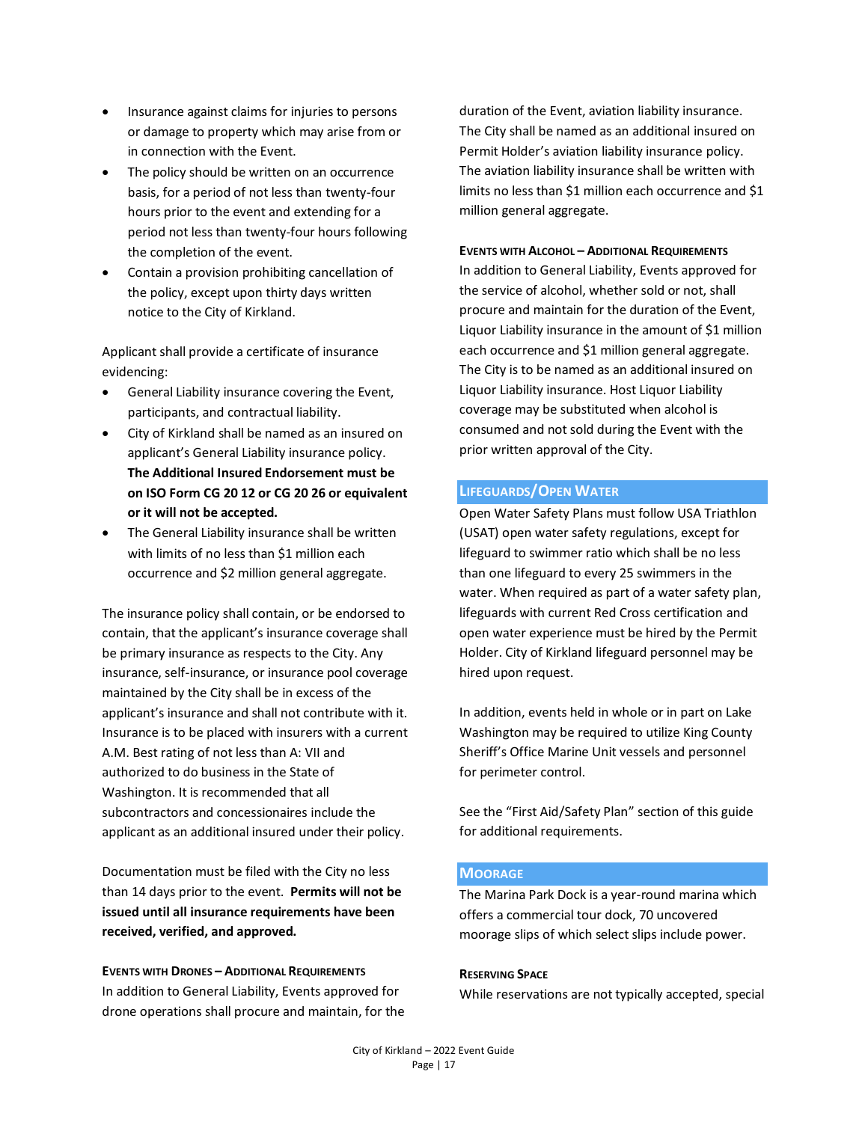- Insurance against claims for injuries to persons or damage to property which may arise from or in connection with the Event.
- The policy should be written on an occurrence basis, for a period of not less than twenty-four hours prior to the event and extending for a period not less than twenty-four hours following the completion of the event.
- Contain a provision prohibiting cancellation of the policy, except upon thirty days written notice to the City of Kirkland.

Applicant shall provide a certificate of insurance evidencing:

- General Liability insurance covering the Event, participants, and contractual liability.
- City of Kirkland shall be named as an insured on applicant's General Liability insurance policy. **The Additional Insured Endorsement must be on ISO Form CG 20 12 or CG 20 26 or equivalent or it will not be accepted.**
- The General Liability insurance shall be written with limits of no less than \$1 million each occurrence and \$2 million general aggregate.

The insurance policy shall contain, or be endorsed to contain, that the applicant's insurance coverage shall be primary insurance as respects to the City. Any insurance, self-insurance, or insurance pool coverage maintained by the City shall be in excess of the applicant's insurance and shall not contribute with it. Insurance is to be placed with insurers with a current A.M. Best rating of not less than A: VII and authorized to do business in the State of Washington. It is recommended that all subcontractors and concessionaires include the applicant as an additional insured under their policy.

Documentation must be filed with the City no less than 14 days prior to the event. **Permits will not be issued until all insurance requirements have been received, verified, and approved.**

**EVENTS WITH DRONES – ADDITIONAL REQUIREMENTS** In addition to General Liability, Events approved for drone operations shall procure and maintain, for the duration of the Event, aviation liability insurance. The City shall be named as an additional insured on Permit Holder's aviation liability insurance policy. The aviation liability insurance shall be written with limits no less than \$1 million each occurrence and \$1 million general aggregate.

#### **EVENTS WITH ALCOHOL – ADDITIONAL REQUIREMENTS**

In addition to General Liability, Events approved for the service of alcohol, whether sold or not, shall procure and maintain for the duration of the Event, Liquor Liability insurance in the amount of \$1 million each occurrence and \$1 million general aggregate. The City is to be named as an additional insured on Liquor Liability insurance. Host Liquor Liability coverage may be substituted when alcohol is consumed and not sold during the Event with the prior written approval of the City.

## **LIFEGUARDS/OPEN WATER**

Open Water Safety Plans must follow USA Triathlon (USAT) open water safety regulations, except for lifeguard to swimmer ratio which shall be no less than one lifeguard to every 25 swimmers in the water. When required as part of a water safety plan, lifeguards with current Red Cross certification and open water experience must be hired by the Permit Holder. City of Kirkland lifeguard personnel may be hired upon request.

In addition, events held in whole or in part on Lake Washington may be required to utilize King County Sheriff's Office Marine Unit vessels and personnel for perimeter control.

See the "First Aid/Safety Plan" section of this guide for additional requirements.

#### **MOORAGE**

The Marina Park Dock is a year-round marina which offers a commercial tour dock, 70 uncovered moorage slips of which select slips include power.

#### **RESERVING SPACE**

While reservations are not typically accepted, special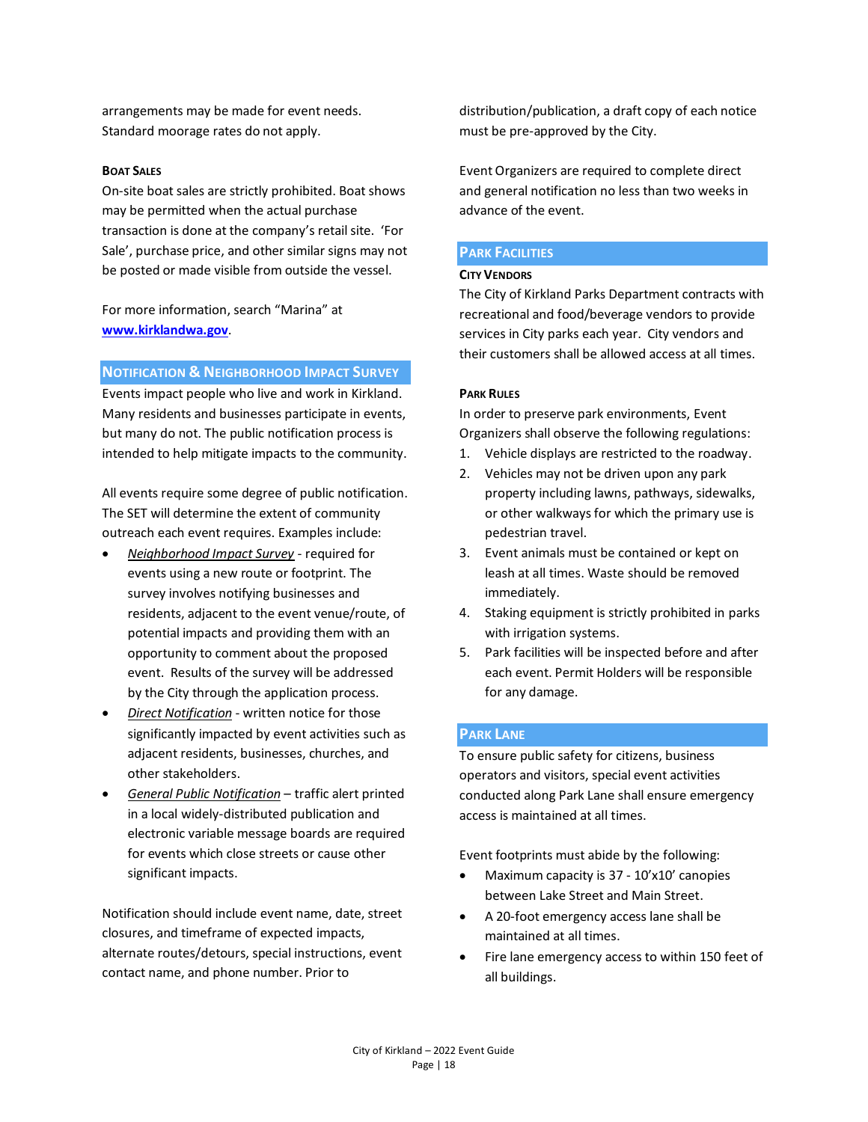arrangements may be made for event needs. Standard moorage rates do not apply.

#### **BOAT SALES**

On-site boat sales are strictly prohibited. Boat shows may be permitted when the actual purchase transaction is done at the company's retail site. 'For Sale', purchase price, and other similar signs may not be posted or made visible from outside the vessel.

For more information, search "Marina" at **[www.kirklandwa.gov](http://www.kirklandwa.gov/)**.

#### **NOTIFICATION & NEIGHBORHOOD IMPACT SURVEY**

Events impact people who live and work in Kirkland. Many residents and businesses participate in events, but many do not. The public notification process is intended to help mitigate impacts to the community.

All events require some degree of public notification. The SET will determine the extent of community outreach each event requires. Examples include:

- *Neighborhood Impact Survey* required for events using a new route or footprint. The survey involves notifying businesses and residents, adjacent to the event venue/route, of potential impacts and providing them with an opportunity to comment about the proposed event. Results of the survey will be addressed by the City through the application process.
- *Direct Notification* written notice for those significantly impacted by event activities such as adjacent residents, businesses, churches, and other stakeholders.
- *General Public Notification* traffic alert printed in a local widely-distributed publication and electronic variable message boards are required for events which close streets or cause other significant impacts.

Notification should include event name, date, street closures, and timeframe of expected impacts, alternate routes/detours, special instructions, event contact name, and phone number. Prior to

distribution/publication, a draft copy of each notice must be pre-approved by the City.

Event Organizers are required to complete direct and general notification no less than two weeks in advance of the event.

#### **PARK FACILITIES**

#### **CITY VENDORS**

The City of Kirkland Parks Department contracts with recreational and food/beverage vendors to provide services in City parks each year. City vendors and their customers shall be allowed access at all times.

#### **PARK RULES**

In order to preserve park environments, Event Organizers shall observe the following regulations:

- 1. Vehicle displays are restricted to the roadway.
- 2. Vehicles may not be driven upon any park property including lawns, pathways, sidewalks, or other walkways for which the primary use is pedestrian travel.
- 3. Event animals must be contained or kept on leash at all times. Waste should be removed immediately.
- 4. Staking equipment is strictly prohibited in parks with irrigation systems.
- 5. Park facilities will be inspected before and after each event. Permit Holders will be responsible for any damage.

#### **PARK LANE**

To ensure public safety for citizens, business operators and visitors, special event activities conducted along Park Lane shall ensure emergency access is maintained at all times.

Event footprints must abide by the following:

- Maximum capacity is 37 10'x10' canopies between Lake Street and Main Street.
- A 20-foot emergency access lane shall be maintained at all times.
- Fire lane emergency access to within 150 feet of all buildings.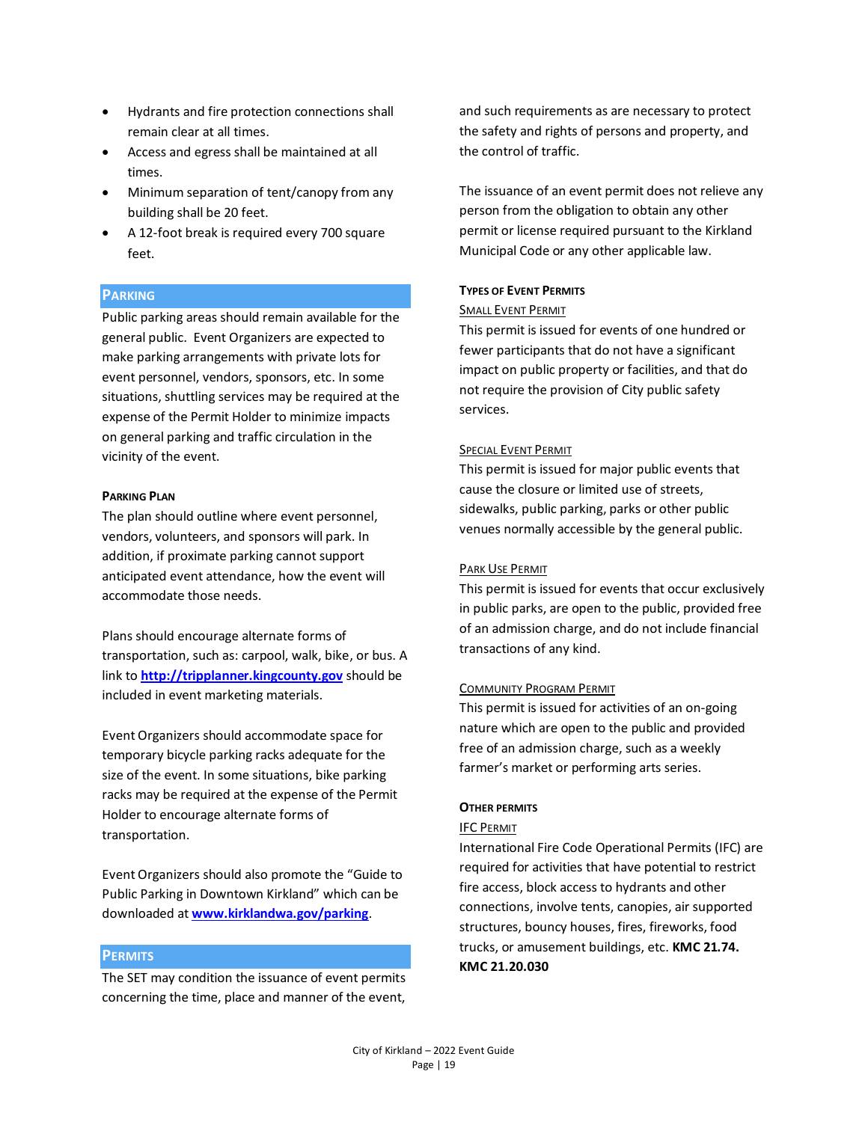- Hydrants and fire protection connections shall remain clear at all times.
- Access and egress shall be maintained at all times.
- Minimum separation of tent/canopy from any building shall be 20 feet.
- A 12-foot break is required every 700 square feet.

## **PARKING**

Public parking areas should remain available for the general public. Event Organizers are expected to make parking arrangements with private lots for event personnel, vendors, sponsors, etc. In some situations, shuttling services may be required at the expense of the Permit Holder to minimize impacts on general parking and traffic circulation in the vicinity of the event.

#### **PARKING PLAN**

The plan should outline where event personnel, vendors, volunteers, and sponsors will park. In addition, if proximate parking cannot support anticipated event attendance, how the event will accommodate those needs.

Plans should encourage alternate forms of transportation, such as: carpool, walk, bike, or bus. A link to **[http://tripplanner.kingcounty.gov](http://tripplanner.kingcounty.gov/)** should be included in event marketing materials.

Event Organizers should accommodate space for temporary bicycle parking racks adequate for the size of the event. In some situations, bike parking racks may be required at the expense of the Permit Holder to encourage alternate forms of transportation.

Event Organizers should also promote the "Guide to Public Parking in Downtown Kirkland" which can be downloaded at **[www.kirklandwa.gov/parking](http://www.kirklandwa.gov/parking)**.

## **PERMITS**

The SET may condition the issuance of event permits concerning the time, place and manner of the event, and such requirements as are necessary to protect the safety and rights of persons and property, and the control of traffic.

The issuance of an event permit does not relieve any person from the obligation to obtain any other permit or license required pursuant to the Kirkland Municipal Code or any other applicable law.

## **TYPES OF EVENT PERMITS**

#### SMALL EVENT PERMIT

This permit is issued for events of one hundred or fewer participants that do not have a significant impact on public property or facilities, and that do not require the provision of City public safety services.

## SPECIAL EVENT PERMIT

This permit is issued for major public events that cause the closure or limited use of streets, sidewalks, public parking, parks or other public venues normally accessible by the general public.

## PARK USE PERMIT

This permit is issued for events that occur exclusively in public parks, are open to the public, provided free of an admission charge, and do not include financial transactions of any kind.

## COMMUNITY PROGRAM PERMIT

This permit is issued for activities of an on-going nature which are open to the public and provided free of an admission charge, such as a weekly farmer's market or performing arts series.

## **OTHER PERMITS**

## IFC PERMIT

International Fire Code Operational Permits (IFC) are required for activities that have potential to restrict fire access, block access to hydrants and other connections, involve tents, canopies, air supported structures, bouncy houses, fires, fireworks, food trucks, or amusement buildings, etc. **KMC 21.74. KMC 21.20.030**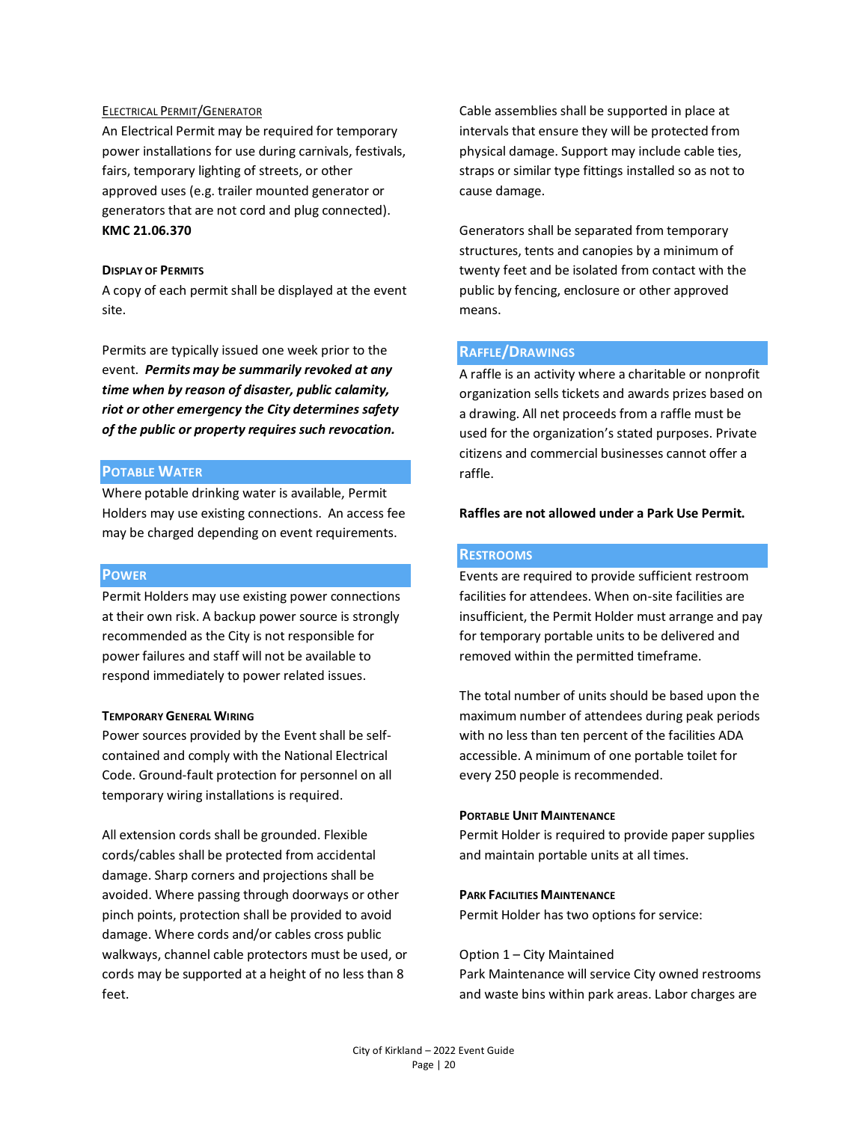#### ELECTRICAL PERMIT/GENERATOR

An Electrical Permit may be required for temporary power installations for use during carnivals, festivals, fairs, temporary lighting of streets, or other approved uses (e.g. trailer mounted generator or generators that are not cord and plug connected). **KMC 21.06.370**

## **DISPLAY OF PERMITS**

A copy of each permit shall be displayed at the event site.

Permits are typically issued one week prior to the event. *Permits may be summarily revoked at any time when by reason of disaster, public calamity, riot or other emergency the City determines safety of the public or property requires such revocation.* 

## **POTABLE WATER**

Where potable drinking water is available, Permit Holders may use existing connections. An access fee may be charged depending on event requirements.

## **POWER**

Permit Holders may use existing power connections at their own risk. A backup power source is strongly recommended as the City is not responsible for power failures and staff will not be available to respond immediately to power related issues.

## **TEMPORARY GENERAL WIRING**

Power sources provided by the Event shall be selfcontained and comply with the National Electrical Code. Ground-fault protection for personnel on all temporary wiring installations is required.

All extension cords shall be grounded. Flexible cords/cables shall be protected from accidental damage. Sharp corners and projections shall be avoided. Where passing through doorways or other pinch points, protection shall be provided to avoid damage. Where cords and/or cables cross public walkways, channel cable protectors must be used, or cords may be supported at a height of no less than 8 feet.

Cable assemblies shall be supported in place at intervals that ensure they will be protected from physical damage. Support may include cable ties, straps or similar type fittings installed so as not to cause damage.

Generators shall be separated from temporary structures, tents and canopies by a minimum of twenty feet and be isolated from contact with the public by fencing, enclosure or other approved means.

## **RAFFLE/DRAWINGS**

A raffle is an activity where a charitable or nonprofit organization sells tickets and awards prizes based on a drawing. All net proceeds from a raffle must be used for the organization's stated purposes. Private citizens and commercial businesses cannot offer a raffle.

## **Raffles are not allowed under a Park Use Permit.**

## **RESTROOMS**

Events are required to provide sufficient restroom facilities for attendees. When on-site facilities are insufficient, the Permit Holder must arrange and pay for temporary portable units to be delivered and removed within the permitted timeframe.

The total number of units should be based upon the maximum number of attendees during peak periods with no less than ten percent of the facilities ADA accessible. A minimum of one portable toilet for every 250 people is recommended.

#### **PORTABLE UNIT MAINTENANCE**

Permit Holder is required to provide paper supplies and maintain portable units at all times.

#### **PARK FACILITIES MAINTENANCE**

Permit Holder has two options for service:

#### Option 1 – City Maintained

Park Maintenance will service City owned restrooms and waste bins within park areas. Labor charges are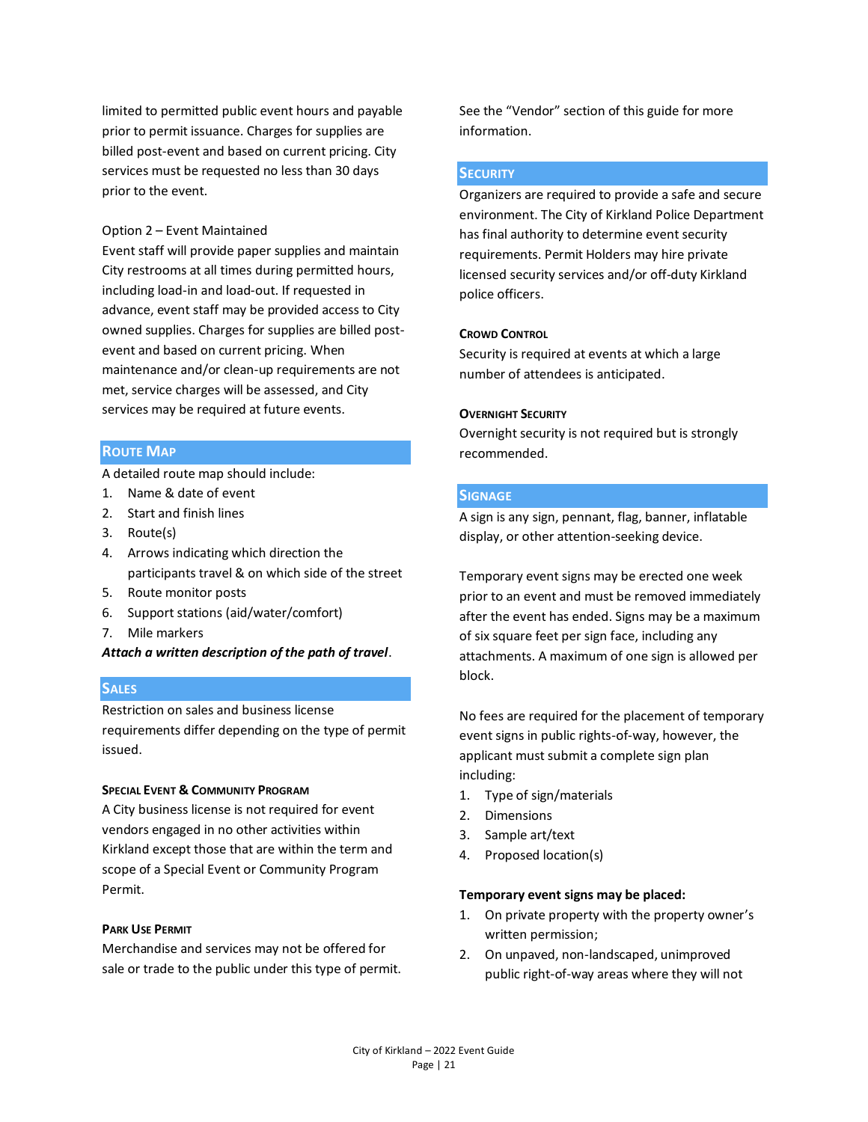limited to permitted public event hours and payable prior to permit issuance. Charges for supplies are billed post-event and based on current pricing. City services must be requested no less than 30 days prior to the event.

#### Option 2 – Event Maintained

Event staff will provide paper supplies and maintain City restrooms at all times during permitted hours, including load-in and load-out. If requested in advance, event staff may be provided access to City owned supplies. Charges for supplies are billed postevent and based on current pricing. When maintenance and/or clean-up requirements are not met, service charges will be assessed, and City services may be required at future events.

## **ROUTE MAP**

A detailed route map should include:

- 1. Name & date of event
- 2. Start and finish lines
- 3. Route(s)
- 4. Arrows indicating which direction the participants travel & on which side of the street
- 5. Route monitor posts
- 6. Support stations (aid/water/comfort)
- 7. Mile markers

*Attach a written description of the path of travel*.

#### **SALES**

Restriction on sales and business license requirements differ depending on the type of permit issued.

#### **SPECIAL EVENT & COMMUNITY PROGRAM**

A City business license is not required for event vendors engaged in no other activities within Kirkland except those that are within the term and scope of a Special Event or Community Program Permit.

#### **PARK USE PERMIT**

Merchandise and services may not be offered for sale or trade to the public under this type of permit. See the "Vendor" section of this guide for more information.

## **SECURITY**

Organizers are required to provide a safe and secure environment. The City of Kirkland Police Department has final authority to determine event security requirements. Permit Holders may hire private licensed security services and/or off-duty Kirkland police officers.

## **CROWD CONTROL**

Security is required at events at which a large number of attendees is anticipated.

#### **OVERNIGHT SECURITY**

Overnight security is not required but is strongly recommended.

## **SIGNAGE**

A sign is any sign, pennant, flag, banner, inflatable display, or other attention-seeking device.

Temporary event signs may be erected one week prior to an event and must be removed immediately after the event has ended. Signs may be a maximum of six square feet per sign face, including any attachments. A maximum of one sign is allowed per block.

No fees are required for the placement of temporary event signs in public rights-of-way, however, the applicant must submit a complete sign plan including:

- 1. Type of sign/materials
- 2. Dimensions
- 3. Sample art/text
- 4. Proposed location(s)

#### **Temporary event signs may be placed:**

- 1. On private property with the property owner's written permission;
- 2. On unpaved, non-landscaped, unimproved public right-of-way areas where they will not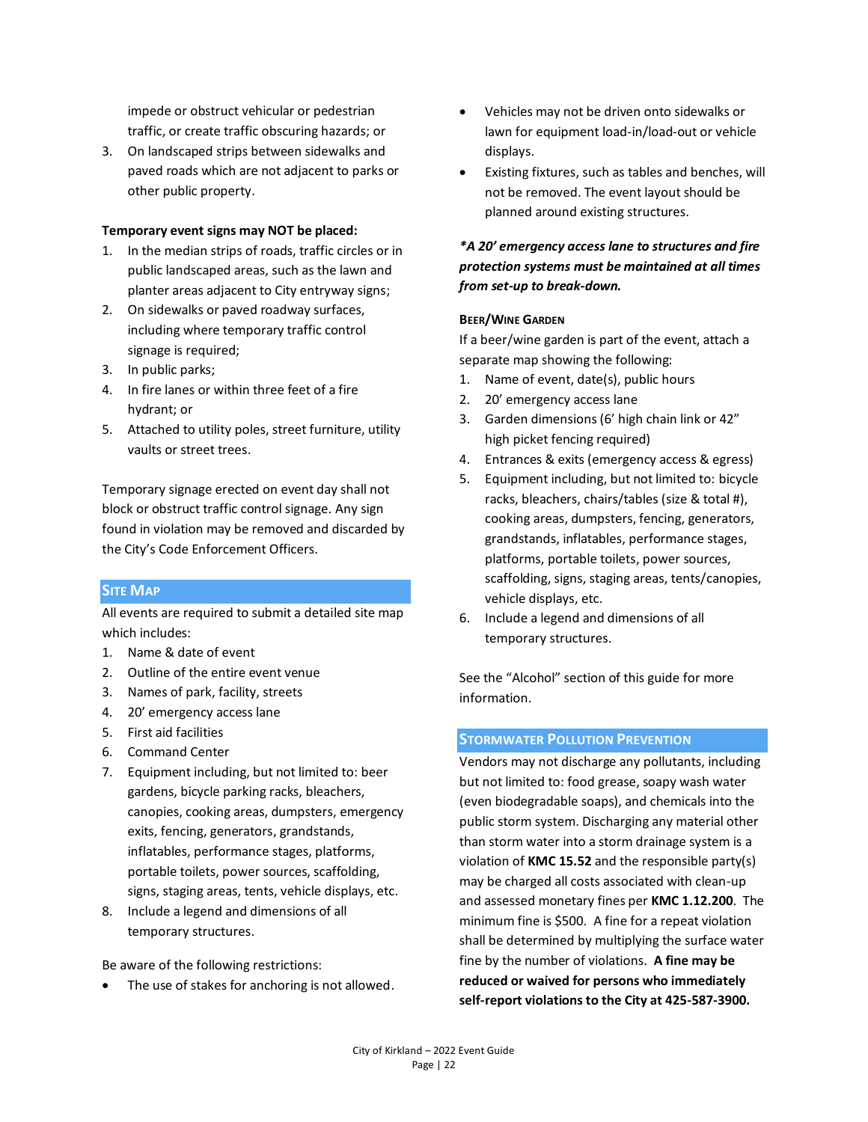impede or obstruct vehicular or pedestrian traffic, or create traffic obscuring hazards; or

3. On landscaped strips between sidewalks and paved roads which are not adjacent to parks or other public property.

## **Temporary event signs may NOT be placed:**

- 1. In the median strips of roads, traffic circles or in public landscaped areas, such as the lawn and planter areas adjacent to City entryway signs;
- 2. On sidewalks or paved roadway surfaces, including where temporary traffic control signage is required;
- 3. In public parks;
- 4. In fire lanes or within three feet of a fire hydrant; or
- 5. Attached to utility poles, street furniture, utility vaults or street trees.

Temporary signage erected on event day shall not block or obstruct traffic control signage. Any sign found in violation may be removed and discarded by the City's Code Enforcement Officers.

## **SITE MAP**

All events are required to submit a detailed site map which includes:

- 1. Name & date of event
- 2. Outline of the entire event venue
- 3. Names of park, facility, streets
- 4. 20' emergency access lane
- 5. First aid facilities
- 6. Command Center
- 7. Equipment including, but not limited to: beer gardens, bicycle parking racks, bleachers, canopies, cooking areas, dumpsters, emergency exits, fencing, generators, grandstands, inflatables, performance stages, platforms, portable toilets, power sources, scaffolding, signs, staging areas, tents, vehicle displays, etc.
- 8. Include a legend and dimensions of all temporary structures.

Be aware of the following restrictions:

The use of stakes for anchoring is not allowed.

- Vehicles may not be driven onto sidewalks or lawn for equipment load-in/load-out or vehicle displays.
- Existing fixtures, such as tables and benches, will not be removed. The event layout should be planned around existing structures.

## *\*A 20' emergency access lane to structures and fire protection systems must be maintained at all times from set-up to break-down.*

#### **BEER/WINE GARDEN**

If a beer/wine garden is part of the event, attach a separate map showing the following:

- 1. Name of event, date(s), public hours
- 2. 20' emergency access lane
- 3. Garden dimensions(6' high chain link or 42" high picket fencing required)
- 4. Entrances & exits (emergency access & egress)
- 5. Equipment including, but not limited to: bicycle racks, bleachers, chairs/tables (size & total #), cooking areas, dumpsters, fencing, generators, grandstands, inflatables, performance stages, platforms, portable toilets, power sources, scaffolding, signs, staging areas, tents/canopies, vehicle displays, etc.
- 6. Include a legend and dimensions of all temporary structures.

See the "Alcohol" section of this guide for more information.

## **STORMWATER POLLUTION PREVENTION**

Vendors may not discharge any pollutants, including but not limited to: food grease, soapy wash water (even biodegradable soaps), and chemicals into the public storm system. Discharging any material other than storm water into a storm drainage system is a violation of **KMC 15.52** and the responsible party(s) may be charged all costs associated with clean-up and assessed monetary fines per **KMC 1.12.200**. The minimum fine is \$500. A fine for a repeat violation shall be determined by multiplying the surface water fine by the number of violations. **A fine may be reduced or waived for persons who immediately self-report violations to the City at 425-587-3900.**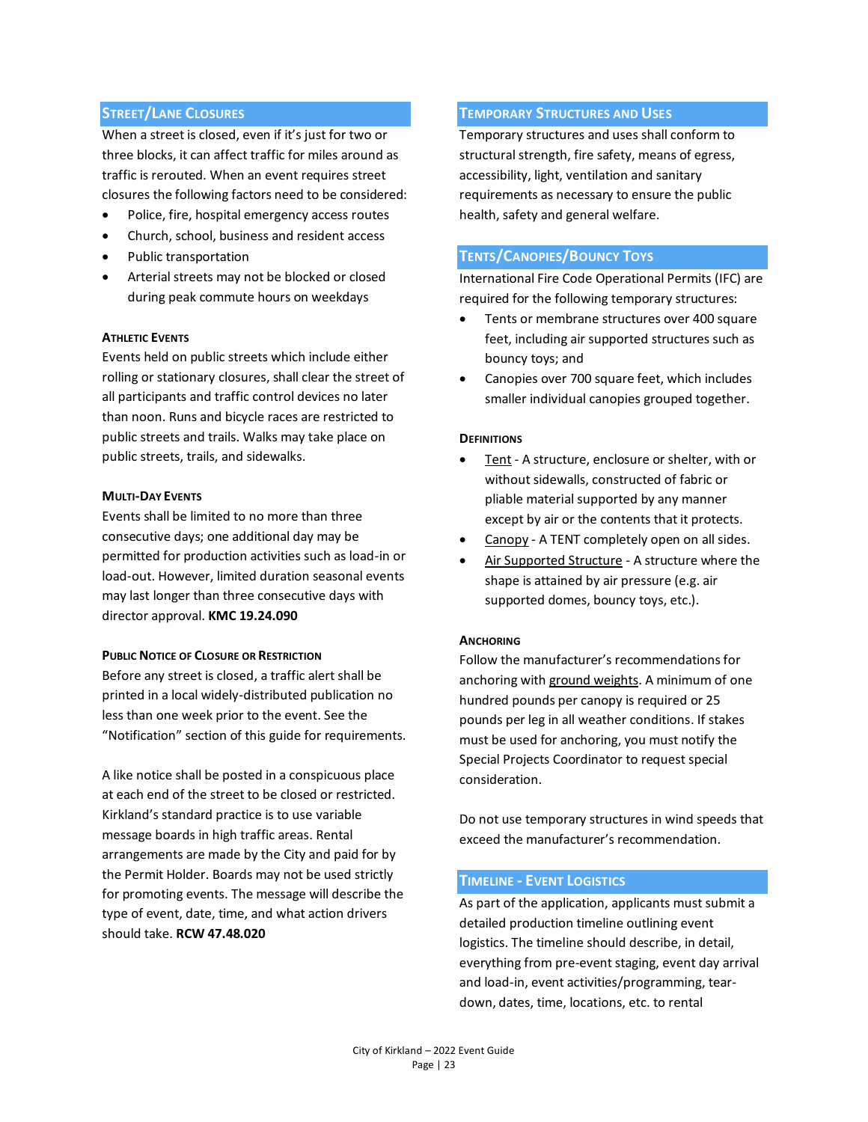## **STREET/LANE CLOSURES**

When a street is closed, even if it's just for two or three blocks, it can affect traffic for miles around as traffic is rerouted. When an event requires street closures the following factors need to be considered:

- Police, fire, hospital emergency access routes
- Church, school, business and resident access
- Public transportation
- Arterial streets may not be blocked or closed during peak commute hours on weekdays

#### **ATHLETIC EVENTS**

Events held on public streets which include either rolling or stationary closures, shall clear the street of all participants and traffic control devices no later than noon. Runs and bicycle races are restricted to public streets and trails. Walks may take place on public streets, trails, and sidewalks.

#### **MULTI-DAY EVENTS**

Events shall be limited to no more than three consecutive days; one additional day may be permitted for production activities such as load-in or load-out. However, limited duration seasonal events may last longer than three consecutive days with director approval. **KMC 19.24.090**

## **PUBLIC NOTICE OF CLOSURE OR RESTRICTION**

Before any street is closed, a traffic alert shall be printed in a local widely-distributed publication no less than one week prior to the event. See the "Notification" section of this guide for requirements.

A like notice shall be posted in a conspicuous place at each end of the street to be closed or restricted. Kirkland's standard practice is to use variable message boards in high traffic areas. Rental arrangements are made by the City and paid for by the Permit Holder. Boards may not be used strictly for promoting events. The message will describe the type of event, date, time, and what action drivers should take. **RCW 47.48.020**

#### **TEMPORARY STRUCTURES AND USES**

Temporary structures and uses shall conform to structural strength, fire safety, means of egress, accessibility, light, ventilation and sanitary requirements as necessary to ensure the public health, safety and general welfare.

## **TENTS/CANOPIES/BOUNCY TOYS**

International Fire Code Operational Permits (IFC) are required for the following temporary structures:

- Tents or membrane structures over 400 square feet, including air supported structures such as bouncy toys; and
- Canopies over 700 square feet, which includes smaller individual canopies grouped together.

#### **DEFINITIONS**

- Tent A structure, enclosure or shelter, with or without sidewalls, constructed of fabric or pliable material supported by any manner except by air or the contents that it protects.
- Canopy A TENT completely open on all sides.
- Air Supported Structure A structure where the shape is attained by air pressure (e.g. air supported domes, bouncy toys, etc.).

#### **ANCHORING**

Follow the manufacturer's recommendations for anchoring with ground weights. A minimum of one hundred pounds per canopy is required or 25 pounds per leg in all weather conditions. If stakes must be used for anchoring, you must notify the Special Projects Coordinator to request special consideration.

Do not use temporary structures in wind speeds that exceed the manufacturer's recommendation.

## **TIMELINE - EVENT LOGISTICS**

As part of the application, applicants must submit a detailed production timeline outlining event logistics. The timeline should describe, in detail, everything from pre-event staging, event day arrival and load-in, event activities/programming, teardown, dates, time, locations, etc. to rental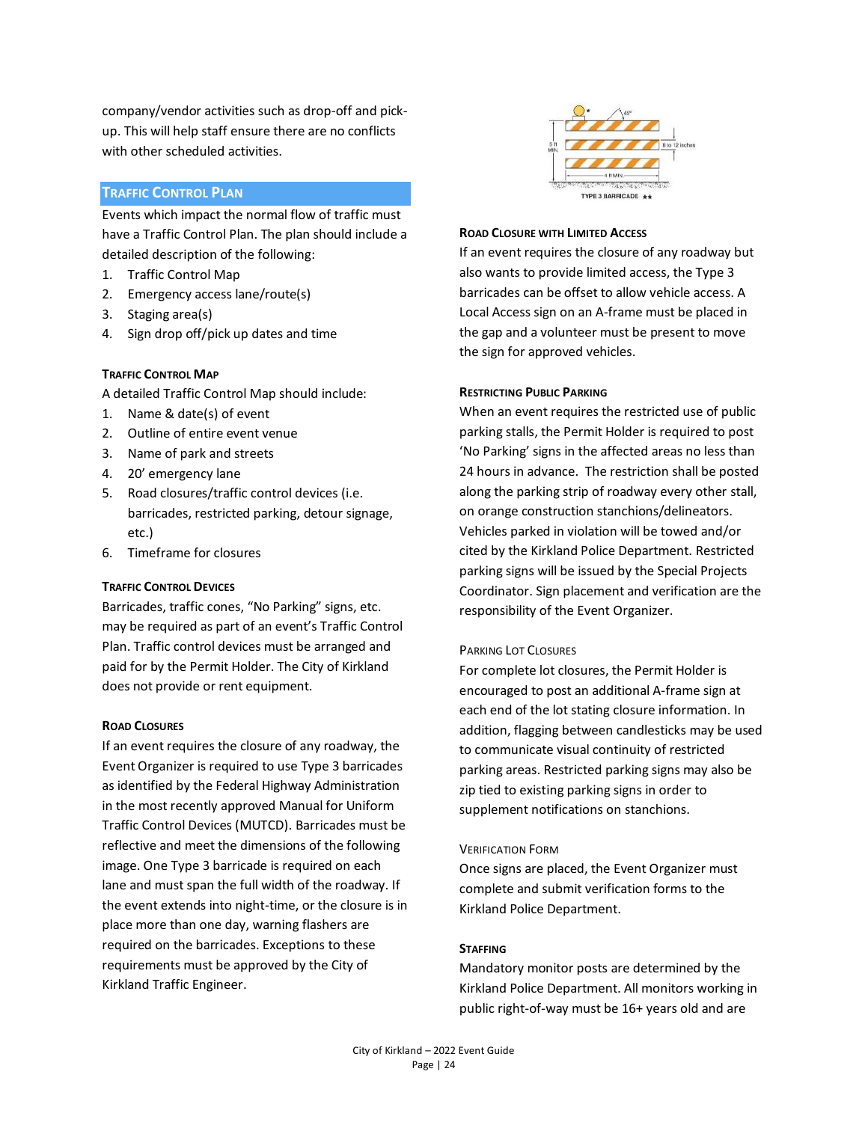company/vendor activities such as drop-off and pickup. This will help staff ensure there are no conflicts with other scheduled activities.

## **TRAFFIC CONTROL PLAN**

Events which impact the normal flow of traffic must have a Traffic Control Plan. The plan should include a detailed description of the following:

- 1. Traffic Control Map
- 2. Emergency access lane/route(s)
- 3. Staging area(s)
- 4. Sign drop off/pick up dates and time

## **TRAFFIC CONTROL MAP**

A detailed Traffic Control Map should include:

- 1. Name & date(s) of event
- 2. Outline of entire event venue
- 3. Name of park and streets
- 4. 20' emergency lane
- 5. Road closures/traffic control devices (i.e. barricades, restricted parking, detour signage, etc.)
- 6. Timeframe for closures

## **TRAFFIC CONTROL DEVICES**

Barricades, traffic cones, "No Parking" signs, etc. may be required as part of an event's Traffic Control Plan. Traffic control devices must be arranged and paid for by the Permit Holder. The City of Kirkland does not provide or rent equipment.

## **ROAD CLOSURES**

If an event requires the closure of any roadway, the Event Organizer is required to use Type 3 barricades as identified by the Federal Highway Administration in the most recently approved Manual for Uniform Traffic Control Devices (MUTCD). Barricades must be reflective and meet the dimensions of the following image. One Type 3 barricade is required on each lane and must span the full width of the roadway. If the event extends into night-time, or the closure is in place more than one day, warning flashers are required on the barricades. Exceptions to these requirements must be approved by the City of Kirkland Traffic Engineer.



## **ROAD CLOSURE WITH LIMITED ACCESS**

If an event requires the closure of any roadway but also wants to provide limited access, the Type 3 barricades can be offset to allow vehicle access. A Local Access sign on an A-frame must be placed in the gap and a volunteer must be present to move the sign for approved vehicles.

#### **RESTRICTING PUBLIC PARKING**

When an event requires the restricted use of public parking stalls, the Permit Holder is required to post 'No Parking' signs in the affected areas no less than 24 hours in advance. The restriction shall be posted along the parking strip of roadway every other stall, on orange construction stanchions/delineators. Vehicles parked in violation will be towed and/or cited by the Kirkland Police Department. Restricted parking signs will be issued by the Special Projects Coordinator. Sign placement and verification are the responsibility of the Event Organizer.

## PARKING LOT CLOSURES

For complete lot closures, the Permit Holder is encouraged to post an additional A-frame sign at each end of the lot stating closure information. In addition, flagging between candlesticks may be used to communicate visual continuity of restricted parking areas. Restricted parking signs may also be zip tied to existing parking signs in order to supplement notifications on stanchions.

## VERIFICATION FORM

Once signs are placed, the Event Organizer must complete and submit verification forms to the Kirkland Police Department.

## **STAFFING**

Mandatory monitor posts are determined by the Kirkland Police Department. All monitors working in public right-of-way must be 16+ years old and are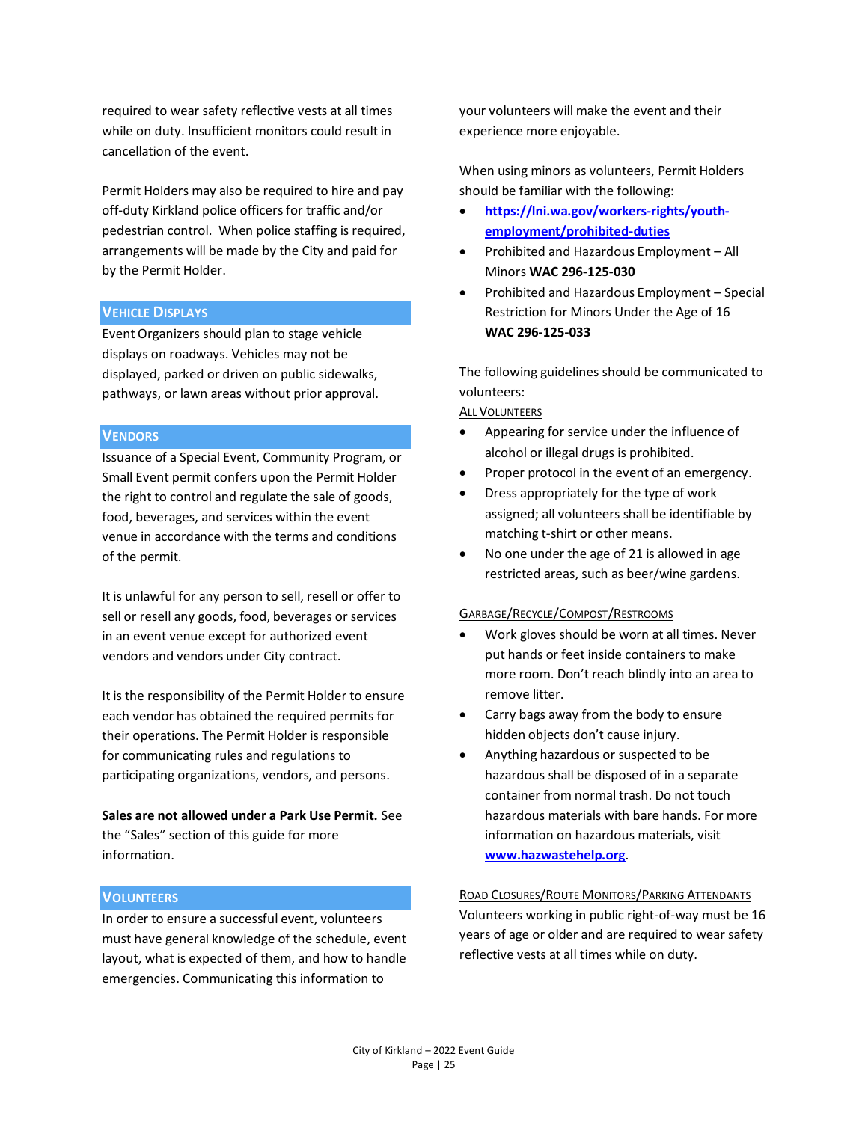required to wear safety reflective vests at all times while on duty. Insufficient monitors could result in cancellation of the event.

Permit Holders may also be required to hire and pay off-duty Kirkland police officers for traffic and/or pedestrian control. When police staffing is required, arrangements will be made by the City and paid for by the Permit Holder.

#### **VEHICLE DISPLAYS**

Event Organizers should plan to stage vehicle displays on roadways. Vehicles may not be displayed, parked or driven on public sidewalks, pathways, or lawn areas without prior approval.

## **VENDORS**

Issuance of a Special Event, Community Program, or Small Event permit confers upon the Permit Holder the right to control and regulate the sale of goods, food, beverages, and services within the event venue in accordance with the terms and conditions of the permit.

It is unlawful for any person to sell, resell or offer to sell or resell any goods, food, beverages or services in an event venue except for authorized event vendors and vendors under City contract.

It is the responsibility of the Permit Holder to ensure each vendor has obtained the required permits for their operations. The Permit Holder is responsible for communicating rules and regulations to participating organizations, vendors, and persons.

**Sales are not allowed under a Park Use Permit.** See the "Sales" section of this guide for more information.

#### **VOLUNTEERS**

In order to ensure a successful event, volunteers must have general knowledge of the schedule, event layout, what is expected of them, and how to handle emergencies. Communicating this information to

your volunteers will make the event and their experience more enjoyable.

When using minors as volunteers, Permit Holders should be familiar with the following:

- **[https://lni.wa.gov/workers-rights/youth](https://lni.wa.gov/workers-rights/youth-employment/prohibited-duties)[employment/prohibited-duties](https://lni.wa.gov/workers-rights/youth-employment/prohibited-duties)**
- Prohibited and Hazardous Employment All Minors **WAC 296-125-030**
- Prohibited and Hazardous Employment Special Restriction for Minors Under the Age of 16 **WAC 296-125-033**

The following guidelines should be communicated to volunteers:

#### ALL VOLUNTEERS

- Appearing for service under the influence of alcohol or illegal drugs is prohibited.
- Proper protocol in the event of an emergency.
- Dress appropriately for the type of work assigned; all volunteers shall be identifiable by matching t-shirt or other means.
- No one under the age of 21 is allowed in age restricted areas, such as beer/wine gardens.

#### GARBAGE/RECYCLE/COMPOST/RESTROOMS

- Work gloves should be worn at all times. Never put hands or feet inside containers to make more room. Don't reach blindly into an area to remove litter.
- Carry bags away from the body to ensure hidden objects don't cause injury.
- Anything hazardous or suspected to be hazardous shall be disposed of in a separate container from normal trash. Do not touch hazardous materials with bare hands. For more information on hazardous materials, visit **[www.hazwastehelp.org](http://www.hazwastehelp.org/)**.

ROAD CLOSURES/ROUTE MONITORS/PARKING ATTENDANTS Volunteers working in public right-of-way must be 16 years of age or older and are required to wear safety reflective vests at all times while on duty.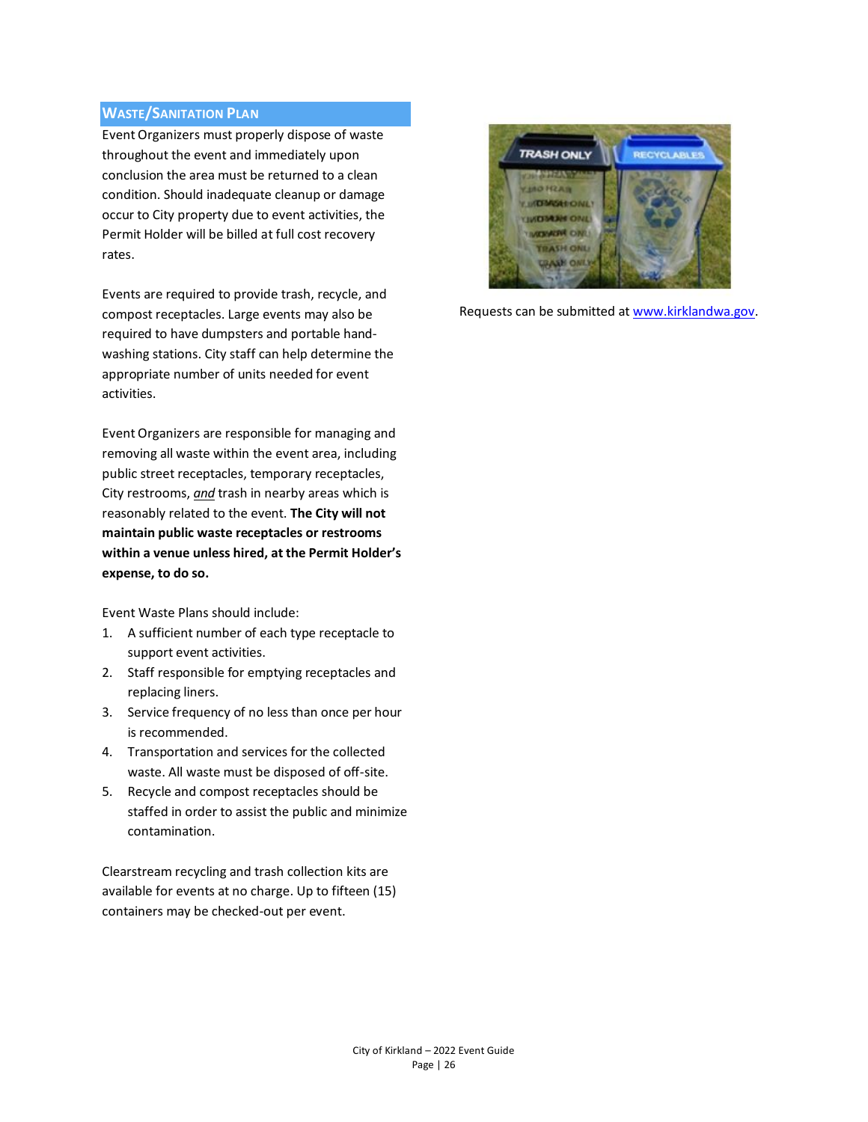## **WASTE/SANITATION PLAN**

Event Organizers must properly dispose of waste throughout the event and immediately upon conclusion the area must be returned to a clean condition. Should inadequate cleanup or damage occur to City property due to event activities, the Permit Holder will be billed at full cost recovery rates.

Events are required to provide trash, recycle, and compost receptacles. Large events may also be required to have dumpsters and portable handwashing stations. City staff can help determine the appropriate number of units needed for event activities.

Event Organizers are responsible for managing and removing all waste within the event area, including public street receptacles, temporary receptacles, City restrooms, *and* trash in nearby areas which is reasonably related to the event. **The City will not maintain public waste receptacles or restrooms within a venue unless hired, at the Permit Holder's expense, to do so.**

Event Waste Plans should include:

- 1. A sufficient number of each type receptacle to support event activities.
- 2. Staff responsible for emptying receptacles and replacing liners.
- 3. Service frequency of no less than once per hour is recommended.
- 4. Transportation and services for the collected waste. All waste must be disposed of off-site.
- 5. Recycle and compost receptacles should be staffed in order to assist the public and minimize contamination.

Clearstream recycling and trash collection kits are available for events at no charge. Up to fifteen (15) containers may be checked-out per event.



Requests can be submitted a[t www.kirklandwa.gov.](http://www.kirklandwa.gov/)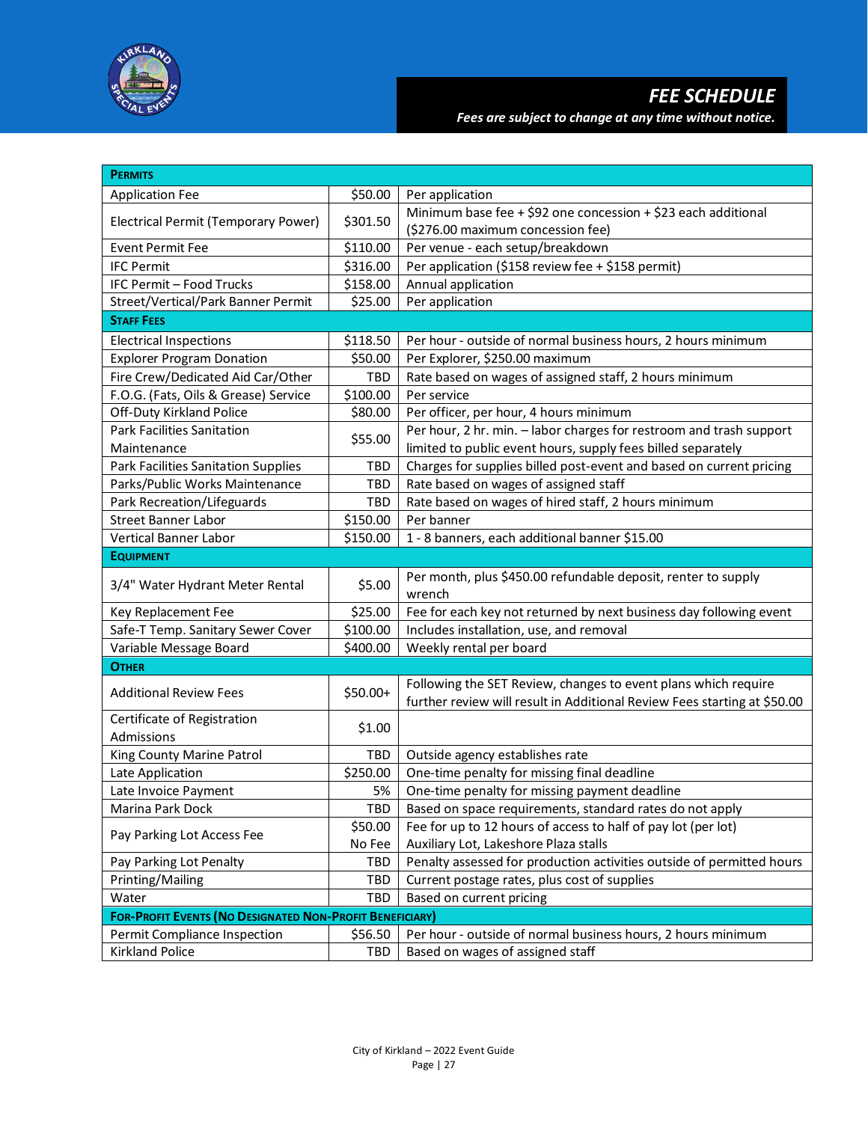

| <b>PERMITS</b>                                                  |          |                                                                                                                                            |  |  |
|-----------------------------------------------------------------|----------|--------------------------------------------------------------------------------------------------------------------------------------------|--|--|
| <b>Application Fee</b>                                          | \$50.00  | Per application                                                                                                                            |  |  |
|                                                                 | \$301.50 | Minimum base fee + \$92 one concession + \$23 each additional                                                                              |  |  |
| Electrical Permit (Temporary Power)                             |          | (\$276.00 maximum concession fee)                                                                                                          |  |  |
| <b>Event Permit Fee</b>                                         | \$110.00 | Per venue - each setup/breakdown                                                                                                           |  |  |
| <b>IFC Permit</b>                                               | \$316.00 | Per application (\$158 review fee + \$158 permit)                                                                                          |  |  |
| IFC Permit - Food Trucks                                        | \$158.00 | Annual application                                                                                                                         |  |  |
| Street/Vertical/Park Banner Permit                              | \$25.00  | Per application                                                                                                                            |  |  |
| <b>STAFF FEES</b>                                               |          |                                                                                                                                            |  |  |
| <b>Electrical Inspections</b>                                   | \$118.50 | Per hour - outside of normal business hours, 2 hours minimum                                                                               |  |  |
| <b>Explorer Program Donation</b>                                | \$50.00  | Per Explorer, \$250.00 maximum                                                                                                             |  |  |
| Fire Crew/Dedicated Aid Car/Other                               | TBD      | Rate based on wages of assigned staff, 2 hours minimum                                                                                     |  |  |
| F.O.G. (Fats, Oils & Grease) Service                            | \$100.00 | Per service                                                                                                                                |  |  |
| Off-Duty Kirkland Police                                        | \$80.00  | Per officer, per hour, 4 hours minimum                                                                                                     |  |  |
| <b>Park Facilities Sanitation</b>                               |          | Per hour, 2 hr. min. - labor charges for restroom and trash support                                                                        |  |  |
| Maintenance                                                     | \$55.00  | limited to public event hours, supply fees billed separately                                                                               |  |  |
| Park Facilities Sanitation Supplies                             | TBD      | Charges for supplies billed post-event and based on current pricing                                                                        |  |  |
| Parks/Public Works Maintenance                                  | TBD      | Rate based on wages of assigned staff                                                                                                      |  |  |
| Park Recreation/Lifeguards                                      | TBD      | Rate based on wages of hired staff, 2 hours minimum                                                                                        |  |  |
| <b>Street Banner Labor</b>                                      | \$150.00 | Per banner                                                                                                                                 |  |  |
| Vertical Banner Labor                                           | \$150.00 | 1 - 8 banners, each additional banner \$15.00                                                                                              |  |  |
| <b>EQUIPMENT</b>                                                |          |                                                                                                                                            |  |  |
| 3/4" Water Hydrant Meter Rental                                 | \$5.00   | Per month, plus \$450.00 refundable deposit, renter to supply<br>wrench                                                                    |  |  |
| Key Replacement Fee                                             | \$25.00  | Fee for each key not returned by next business day following event                                                                         |  |  |
| Safe-T Temp. Sanitary Sewer Cover                               | \$100.00 | Includes installation, use, and removal                                                                                                    |  |  |
| Variable Message Board                                          | \$400.00 | Weekly rental per board                                                                                                                    |  |  |
| <b>OTHER</b>                                                    |          |                                                                                                                                            |  |  |
| <b>Additional Review Fees</b>                                   | \$50.00+ | Following the SET Review, changes to event plans which require<br>further review will result in Additional Review Fees starting at \$50.00 |  |  |
| Certificate of Registration<br>Admissions                       | \$1.00   |                                                                                                                                            |  |  |
| King County Marine Patrol                                       | TBD      | Outside agency establishes rate                                                                                                            |  |  |
| Late Application                                                | \$250.00 | One-time penalty for missing final deadline                                                                                                |  |  |
| Late Invoice Payment                                            | 5%       | One-time penalty for missing payment deadline                                                                                              |  |  |
| Marina Park Dock                                                | TBD      | Based on space requirements, standard rates do not apply                                                                                   |  |  |
|                                                                 | \$50.00  | Fee for up to 12 hours of access to half of pay lot (per lot)                                                                              |  |  |
| Pay Parking Lot Access Fee                                      | No Fee   | Auxiliary Lot, Lakeshore Plaza stalls                                                                                                      |  |  |
| Pay Parking Lot Penalty                                         | TBD      | Penalty assessed for production activities outside of permitted hours                                                                      |  |  |
| Printing/Mailing                                                | TBD      | Current postage rates, plus cost of supplies                                                                                               |  |  |
| Water                                                           | TBD      | Based on current pricing                                                                                                                   |  |  |
| <b>FOR-PROFIT EVENTS (NO DESIGNATED NON-PROFIT BENEFICIARY)</b> |          |                                                                                                                                            |  |  |
| Permit Compliance Inspection                                    | \$56.50  | Per hour - outside of normal business hours, 2 hours minimum                                                                               |  |  |
| Kirkland Police                                                 | TBD      | Based on wages of assigned staff                                                                                                           |  |  |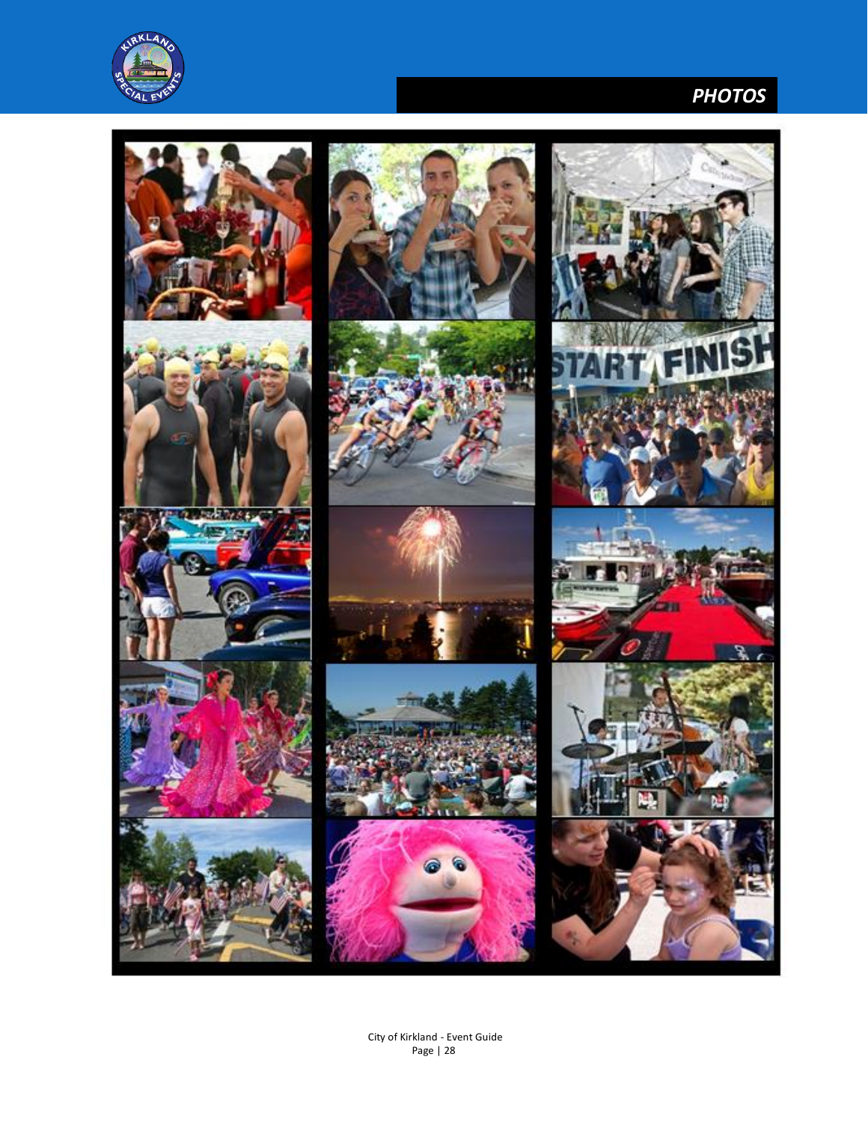

# *PHOTOS*

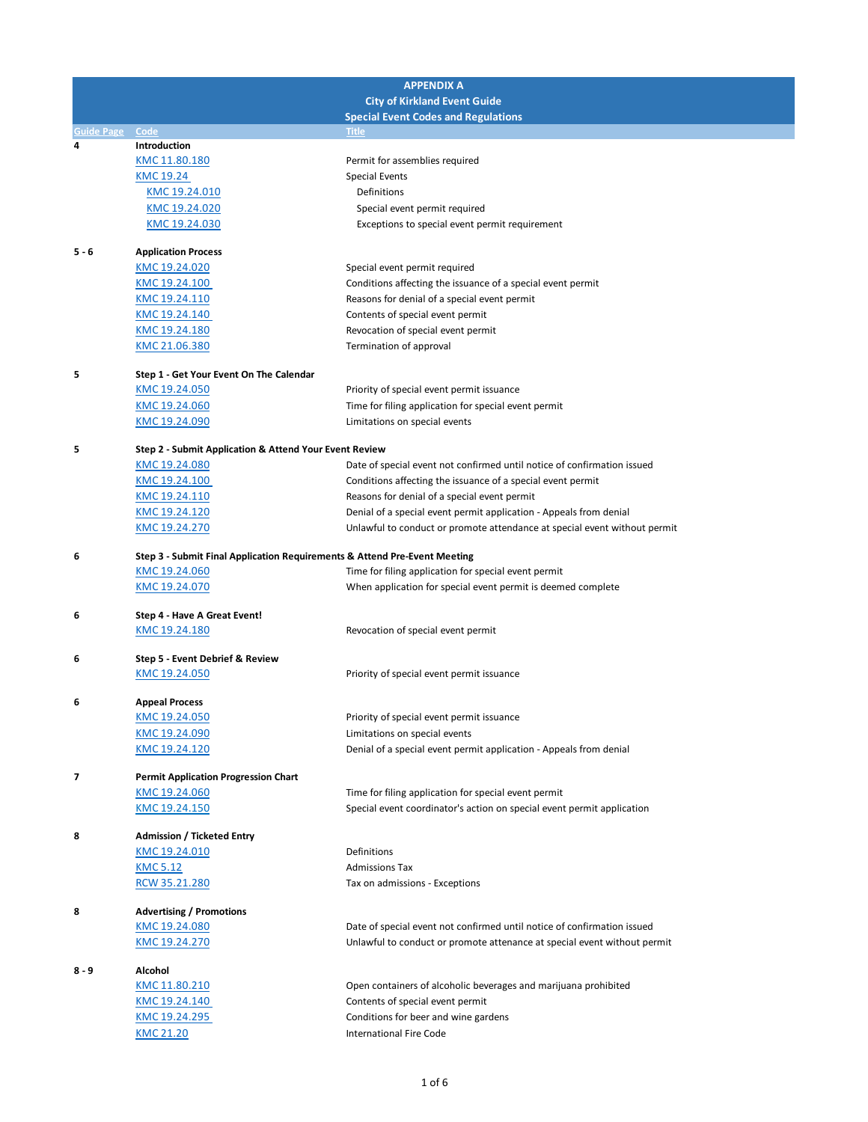| <b>APPENDIX A</b> |                                                                           |                                                                                                                                        |
|-------------------|---------------------------------------------------------------------------|----------------------------------------------------------------------------------------------------------------------------------------|
|                   |                                                                           | <b>City of Kirkland Event Guide</b>                                                                                                    |
| Guide Page        | Code                                                                      | <b>Special Event Codes and Regulations</b><br><b>Title</b>                                                                             |
| 4                 | Introduction                                                              |                                                                                                                                        |
|                   | KMC 11.80.180                                                             | Permit for assemblies required                                                                                                         |
|                   | KMC 19.24                                                                 | <b>Special Events</b>                                                                                                                  |
|                   | KMC 19.24.010                                                             | Definitions                                                                                                                            |
|                   | KMC 19.24.020                                                             | Special event permit required                                                                                                          |
|                   | KMC 19.24.030                                                             | Exceptions to special event permit requirement                                                                                         |
| 5 - 6             | <b>Application Process</b>                                                |                                                                                                                                        |
|                   | KMC 19.24.020                                                             | Special event permit required                                                                                                          |
|                   | KMC 19.24.100                                                             | Conditions affecting the issuance of a special event permit                                                                            |
|                   | KMC 19.24.110                                                             | Reasons for denial of a special event permit                                                                                           |
|                   | KMC 19.24.140                                                             | Contents of special event permit                                                                                                       |
|                   | KMC 19.24.180                                                             | Revocation of special event permit                                                                                                     |
|                   | KMC 21.06.380                                                             | Termination of approval                                                                                                                |
| 5                 | Step 1 - Get Your Event On The Calendar                                   |                                                                                                                                        |
|                   | KMC 19.24.050                                                             | Priority of special event permit issuance                                                                                              |
|                   | KMC 19.24.060                                                             | Time for filing application for special event permit                                                                                   |
|                   | KMC 19.24.090                                                             | Limitations on special events                                                                                                          |
|                   |                                                                           |                                                                                                                                        |
| 5                 | Step 2 - Submit Application & Attend Your Event Review                    |                                                                                                                                        |
|                   | <u>KMC 19.24.080</u><br>KMC 19.24.100                                     | Date of special event not confirmed until notice of confirmation issued<br>Conditions affecting the issuance of a special event permit |
|                   | KMC 19.24.110                                                             | Reasons for denial of a special event permit                                                                                           |
|                   | KMC 19.24.120                                                             | Denial of a special event permit application - Appeals from denial                                                                     |
|                   | KMC 19.24.270                                                             | Unlawful to conduct or promote attendance at special event without permit                                                              |
|                   |                                                                           |                                                                                                                                        |
| 6                 | Step 3 - Submit Final Application Requirements & Attend Pre-Event Meeting |                                                                                                                                        |
|                   | KMC 19.24.060                                                             | Time for filing application for special event permit                                                                                   |
|                   | KMC 19.24.070                                                             | When application for special event permit is deemed complete                                                                           |
| 6                 | Step 4 - Have A Great Event!                                              |                                                                                                                                        |
|                   | KMC 19.24.180                                                             | Revocation of special event permit                                                                                                     |
|                   |                                                                           |                                                                                                                                        |
| 6                 | Step 5 - Event Debrief & Review<br>KMC 19.24.050                          | Priority of special event permit issuance                                                                                              |
|                   |                                                                           |                                                                                                                                        |
| 6                 | <b>Appeal Process</b>                                                     |                                                                                                                                        |
|                   | KMC 19.24.050                                                             | Priority of special event permit issuance                                                                                              |
|                   | KMC 19.24.090                                                             | Limitations on special events                                                                                                          |
|                   | KMC 19.24.120                                                             | Denial of a special event permit application - Appeals from denial                                                                     |
| 7                 | <b>Permit Application Progression Chart</b>                               |                                                                                                                                        |
|                   | KMC 19.24.060                                                             | Time for filing application for special event permit                                                                                   |
|                   | KMC 19.24.150                                                             | Special event coordinator's action on special event permit application                                                                 |
|                   |                                                                           |                                                                                                                                        |
| 8                 | <b>Admission / Ticketed Entry</b>                                         |                                                                                                                                        |
|                   | KMC 19.24.010<br><b>KMC 5.12</b>                                          | Definitions<br><b>Admissions Tax</b>                                                                                                   |
|                   | RCW 35.21.280                                                             | Tax on admissions - Exceptions                                                                                                         |
|                   |                                                                           |                                                                                                                                        |
| 8                 | <b>Advertising / Promotions</b>                                           |                                                                                                                                        |
|                   | KMC 19.24.080                                                             | Date of special event not confirmed until notice of confirmation issued                                                                |
|                   | KMC 19.24.270                                                             | Unlawful to conduct or promote attenance at special event without permit                                                               |
| 8 - 9             | Alcohol                                                                   |                                                                                                                                        |
|                   | KMC 11.80.210                                                             | Open containers of alcoholic beverages and marijuana prohibited                                                                        |
|                   | KMC 19.24.140                                                             | Contents of special event permit                                                                                                       |
|                   | KMC 19.24.295                                                             | Conditions for beer and wine gardens                                                                                                   |
|                   | KMC 21.20                                                                 | <b>International Fire Code</b>                                                                                                         |
|                   |                                                                           |                                                                                                                                        |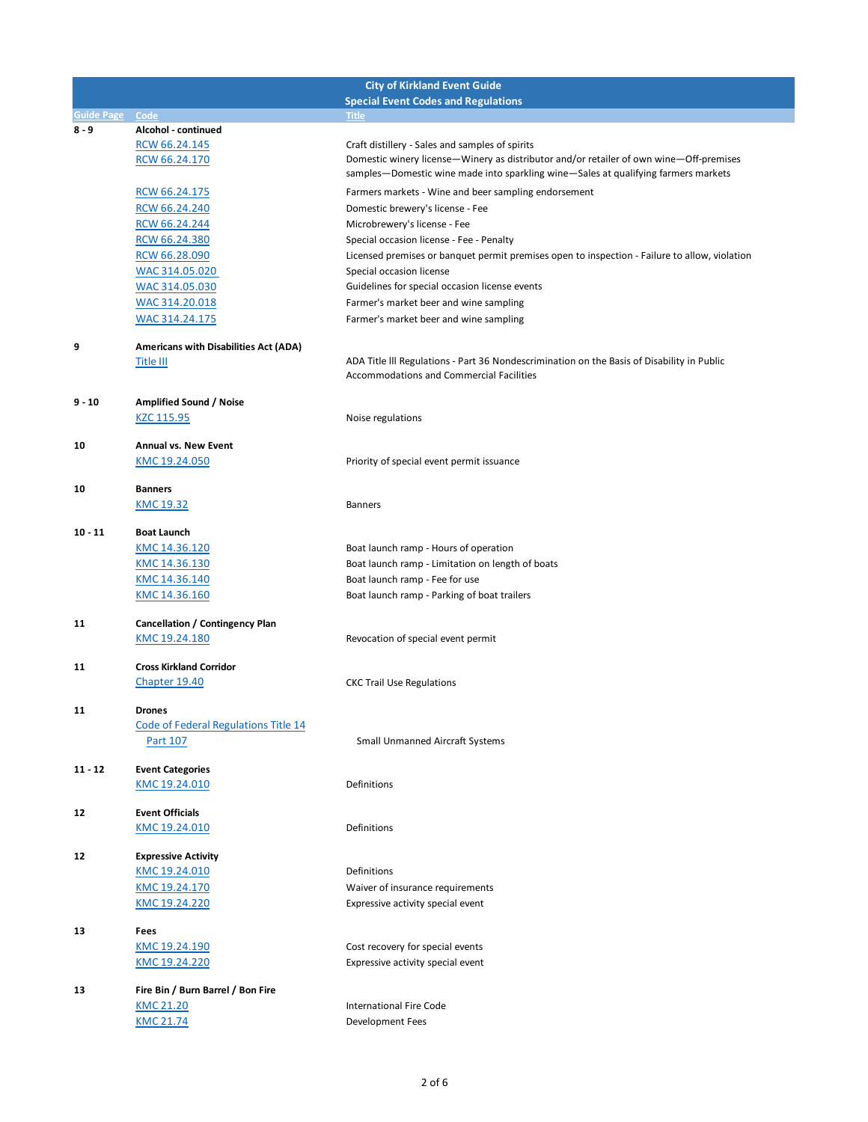|                 |                                              | <b>City of Kirkland Event Guide</b>                                                           |
|-----------------|----------------------------------------------|-----------------------------------------------------------------------------------------------|
|                 |                                              | <b>Special Event Codes and Regulations</b>                                                    |
| Guide Page Code |                                              | <b>Title</b>                                                                                  |
| $8 - 9$         | Alcohol - continued                          |                                                                                               |
|                 | RCW 66.24.145                                | Craft distillery - Sales and samples of spirits                                               |
|                 | RCW 66.24.170                                | Domestic winery license—Winery as distributor and/or retailer of own wine—Off-premises        |
|                 |                                              | samples-Domestic wine made into sparkling wine-Sales at qualifying farmers markets            |
|                 | RCW 66.24.175                                | Farmers markets - Wine and beer sampling endorsement                                          |
|                 | RCW 66.24.240                                | Domestic brewery's license - Fee                                                              |
|                 |                                              |                                                                                               |
|                 | RCW 66.24.244                                | Microbrewery's license - Fee                                                                  |
|                 | RCW 66.24.380                                | Special occasion license - Fee - Penalty                                                      |
|                 | RCW 66.28.090                                | Licensed premises or banquet permit premises open to inspection - Failure to allow, violation |
|                 | WAC 314.05.020                               | Special occasion license                                                                      |
|                 | WAC 314.05.030                               | Guidelines for special occasion license events                                                |
|                 | WAC 314.20.018                               | Farmer's market beer and wine sampling                                                        |
|                 | WAC 314.24.175                               | Farmer's market beer and wine sampling                                                        |
|                 |                                              |                                                                                               |
| 9               | <b>Americans with Disabilities Act (ADA)</b> |                                                                                               |
|                 | Title III                                    | ADA Title III Regulations - Part 36 Nondescrimination on the Basis of Disability in Public    |
|                 |                                              | <b>Accommodations and Commercial Facilities</b>                                               |
|                 |                                              |                                                                                               |
| $9 - 10$        | <b>Amplified Sound / Noise</b>               |                                                                                               |
|                 | KZC 115.95                                   | Noise regulations                                                                             |
|                 |                                              |                                                                                               |
| 10              | Annual vs. New Event                         |                                                                                               |
|                 | KMC 19.24.050                                | Priority of special event permit issuance                                                     |
|                 |                                              |                                                                                               |
| 10              | <b>Banners</b>                               |                                                                                               |
|                 | KMC 19.32                                    | <b>Banners</b>                                                                                |
|                 |                                              |                                                                                               |
| $10 - 11$       | <b>Boat Launch</b>                           |                                                                                               |
|                 | KMC 14.36.120                                | Boat launch ramp - Hours of operation                                                         |
|                 | KMC 14.36.130                                | Boat launch ramp - Limitation on length of boats                                              |
|                 | KMC 14.36.140                                | Boat launch ramp - Fee for use                                                                |
|                 |                                              |                                                                                               |
|                 | KMC 14.36.160                                | Boat launch ramp - Parking of boat trailers                                                   |
| 11              | Cancellation / Contingency Plan              |                                                                                               |
|                 |                                              |                                                                                               |
|                 | KMC 19.24.180                                | Revocation of special event permit                                                            |
|                 | <b>Cross Kirkland Corridor</b>               |                                                                                               |
| 11              |                                              |                                                                                               |
|                 | Chapter 19.40                                | <b>CKC Trail Use Regulations</b>                                                              |
|                 |                                              |                                                                                               |
| 11              | <b>Drones</b>                                |                                                                                               |
|                 | Code of Federal Regulations Title 14         |                                                                                               |
|                 | Part 107                                     | <b>Small Unmanned Aircraft Systems</b>                                                        |
|                 |                                              |                                                                                               |
| $11 - 12$       | <b>Event Categories</b>                      |                                                                                               |
|                 | KMC 19.24.010                                | Definitions                                                                                   |
|                 |                                              |                                                                                               |
| 12              | <b>Event Officials</b>                       |                                                                                               |
|                 | KMC 19.24.010                                | Definitions                                                                                   |
|                 |                                              |                                                                                               |
| 12              | <b>Expressive Activity</b>                   |                                                                                               |
|                 | KMC 19.24.010                                | Definitions                                                                                   |
|                 | KMC 19.24.170                                | Waiver of insurance requirements                                                              |
|                 | KMC 19.24.220                                | Expressive activity special event                                                             |
|                 |                                              |                                                                                               |
| 13              | Fees                                         |                                                                                               |
|                 | KMC 19.24.190                                | Cost recovery for special events                                                              |
|                 | KMC 19.24.220                                | Expressive activity special event                                                             |
|                 |                                              |                                                                                               |
| 13              | Fire Bin / Burn Barrel / Bon Fire            |                                                                                               |
|                 | KMC 21.20                                    | <b>International Fire Code</b>                                                                |
|                 |                                              |                                                                                               |
|                 | <b>KMC 21.74</b>                             | Development Fees                                                                              |
|                 |                                              |                                                                                               |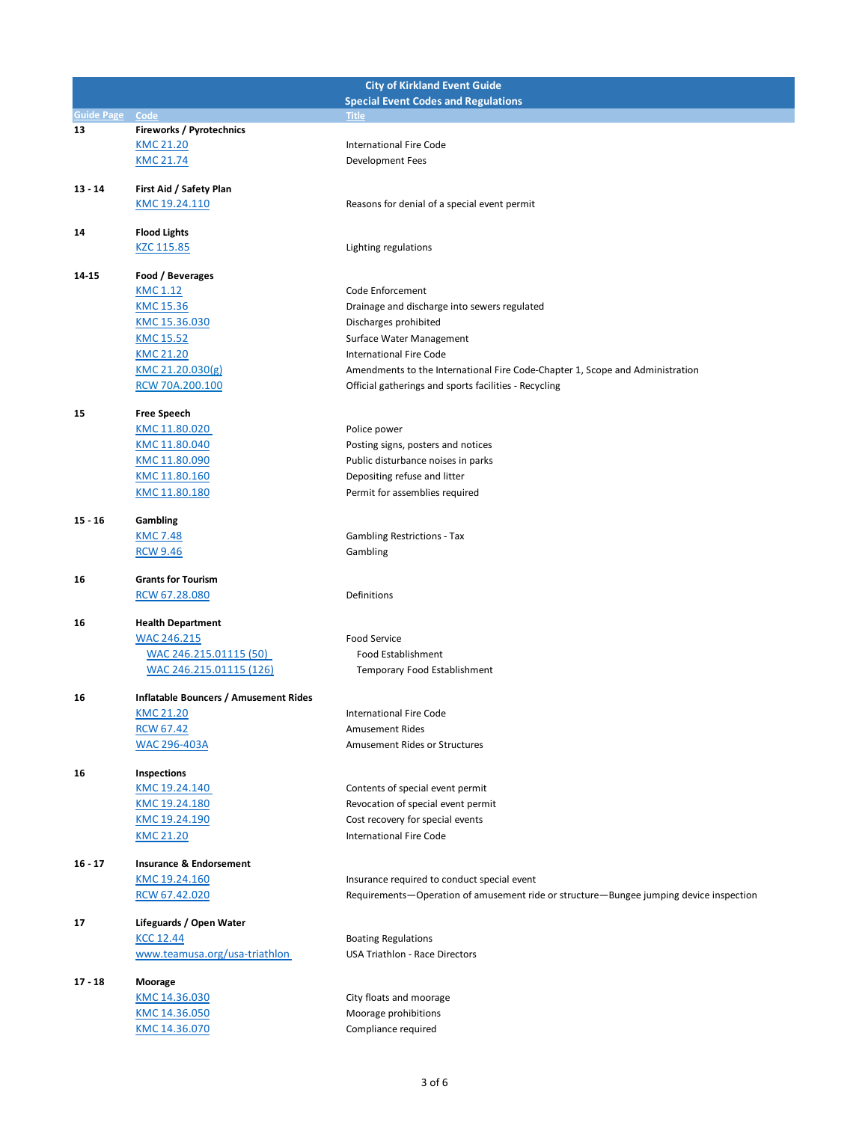|                   |                                              | <b>City of Kirkland Event Guide</b>                                                    |
|-------------------|----------------------------------------------|----------------------------------------------------------------------------------------|
|                   |                                              | <b>Special Event Codes and Regulations</b>                                             |
| <b>Guide Page</b> | Code                                         | <b>Title</b>                                                                           |
| 13                | Fireworks / Pyrotechnics                     |                                                                                        |
|                   | <b>KMC 21.20</b>                             | <b>International Fire Code</b>                                                         |
|                   | <b>KMC 21.74</b>                             | Development Fees                                                                       |
| $13 - 14$         | First Aid / Safety Plan                      |                                                                                        |
|                   | KMC 19.24.110                                | Reasons for denial of a special event permit                                           |
|                   |                                              |                                                                                        |
| 14                | <b>Flood Lights</b>                          |                                                                                        |
|                   | KZC 115.85                                   | Lighting regulations                                                                   |
|                   |                                              |                                                                                        |
| 14-15             | Food / Beverages                             |                                                                                        |
|                   | KMC 1.12                                     | Code Enforcement                                                                       |
|                   | <b>KMC 15.36</b>                             | Drainage and discharge into sewers regulated                                           |
|                   | KMC 15.36.030                                | Discharges prohibited                                                                  |
|                   | KMC 15.52                                    | Surface Water Management                                                               |
|                   | <b>KMC 21.20</b>                             | <b>International Fire Code</b>                                                         |
|                   | KMC 21.20.030(g)                             | Amendments to the International Fire Code-Chapter 1, Scope and Administration          |
|                   | RCW 70A.200.100                              | Official gatherings and sports facilities - Recycling                                  |
|                   |                                              |                                                                                        |
| 15                | <b>Free Speech</b>                           |                                                                                        |
|                   | <u>KMC 11.80.020</u>                         | Police power                                                                           |
|                   | KMC 11.80.040                                | Posting signs, posters and notices                                                     |
|                   | KMC 11.80.090                                | Public disturbance noises in parks                                                     |
|                   | KMC 11.80.160                                | Depositing refuse and litter                                                           |
|                   | KMC 11.80.180                                | Permit for assemblies required                                                         |
| $15 - 16$         | Gambling                                     |                                                                                        |
|                   | <b>KMC 7.48</b>                              | <b>Gambling Restrictions - Tax</b>                                                     |
|                   | <b>RCW 9.46</b>                              | Gambling                                                                               |
|                   |                                              |                                                                                        |
| 16                | <b>Grants for Tourism</b>                    |                                                                                        |
|                   | RCW 67.28.080                                | Definitions                                                                            |
|                   |                                              |                                                                                        |
| 16                | <b>Health Department</b>                     |                                                                                        |
|                   | WAC 246.215                                  | <b>Food Service</b>                                                                    |
|                   | WAC 246.215.01115 (50)                       | <b>Food Establishment</b>                                                              |
|                   | WAC 246.215.01115 (126)                      | Temporary Food Establishment                                                           |
| 16                | <b>Inflatable Bouncers / Amusement Rides</b> |                                                                                        |
|                   | <b>KMC 21.20</b>                             | <b>International Fire Code</b>                                                         |
|                   | <b>RCW 67.42</b>                             | <b>Amusement Rides</b>                                                                 |
|                   | <b>WAC 296-403A</b>                          | Amusement Rides or Structures                                                          |
|                   |                                              |                                                                                        |
| 16                | Inspections                                  |                                                                                        |
|                   | KMC 19.24.140                                | Contents of special event permit                                                       |
|                   | KMC 19.24.180                                | Revocation of special event permit                                                     |
|                   | KMC 19.24.190                                | Cost recovery for special events                                                       |
|                   | <b>KMC 21.20</b>                             | <b>International Fire Code</b>                                                         |
|                   |                                              |                                                                                        |
| $16 - 17$         | <b>Insurance &amp; Endorsement</b>           |                                                                                        |
|                   | KMC 19.24.160                                | Insurance required to conduct special event                                            |
|                   | RCW 67.42.020                                | Requirements-Operation of amusement ride or structure-Bungee jumping device inspection |
|                   |                                              |                                                                                        |
| 17                | Lifeguards / Open Water                      |                                                                                        |
|                   | <b>KCC 12.44</b>                             | <b>Boating Regulations</b>                                                             |
|                   | www.teamusa.org/usa-triathlon                | <b>USA Triathlon - Race Directors</b>                                                  |
|                   |                                              |                                                                                        |
| $17 - 18$         | Moorage<br>KMC 14.36.030                     | City floats and moorage                                                                |
|                   |                                              |                                                                                        |
|                   | KMC 14.36.050<br>KMC 14.36.070               | Moorage prohibitions<br>Compliance required                                            |
|                   |                                              |                                                                                        |
|                   |                                              |                                                                                        |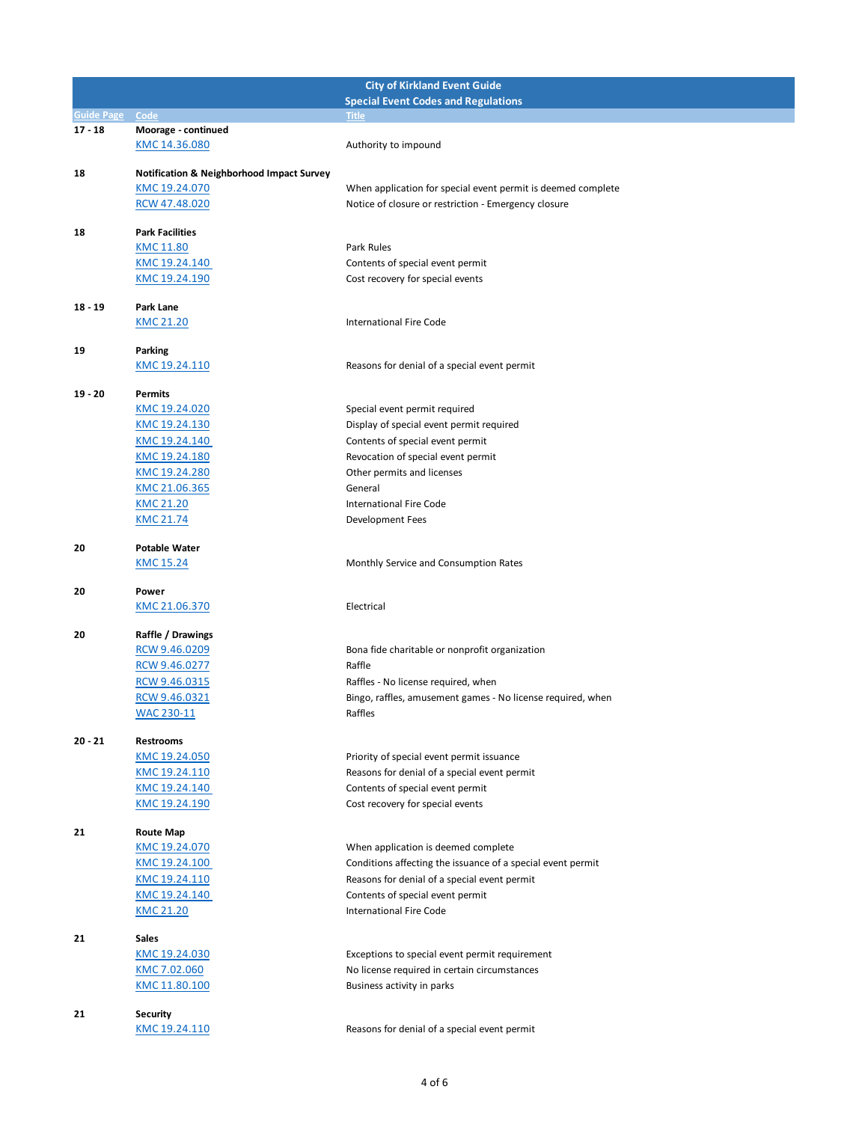|                   |                                                      | <b>City of Kirkland Event Guide</b>                          |
|-------------------|------------------------------------------------------|--------------------------------------------------------------|
|                   |                                                      | <b>Special Event Codes and Regulations</b>                   |
| <b>Guide Page</b> | Code                                                 | <b>Title</b>                                                 |
| $17 - 18$         | Moorage - continued                                  |                                                              |
|                   | KMC 14.36.080                                        | Authority to impound                                         |
| 18                | <b>Notification &amp; Neighborhood Impact Survey</b> |                                                              |
|                   | KMC 19.24.070                                        | When application for special event permit is deemed complete |
|                   | RCW 47.48.020                                        | Notice of closure or restriction - Emergency closure         |
|                   |                                                      |                                                              |
| 18                | <b>Park Facilities</b>                               |                                                              |
|                   | KMC 11.80                                            | Park Rules                                                   |
|                   | KMC 19.24.140                                        | Contents of special event permit                             |
|                   | KMC 19.24.190                                        | Cost recovery for special events                             |
| 18 - 19           | <b>Park Lane</b>                                     |                                                              |
|                   | <b>KMC 21.20</b>                                     | <b>International Fire Code</b>                               |
|                   |                                                      |                                                              |
| 19                | Parking                                              |                                                              |
|                   | KMC 19.24.110                                        | Reasons for denial of a special event permit                 |
| $19 - 20$         |                                                      |                                                              |
|                   | Permits<br>KMC 19.24.020                             | Special event permit required                                |
|                   | KMC 19.24.130                                        | Display of special event permit required                     |
|                   | KMC 19.24.140                                        | Contents of special event permit                             |
|                   | KMC 19.24.180                                        | Revocation of special event permit                           |
|                   | KMC 19.24.280                                        | Other permits and licenses                                   |
|                   | KMC 21.06.365                                        | General                                                      |
|                   | <b>KMC 21.20</b>                                     | <b>International Fire Code</b>                               |
|                   | <b>KMC 21.74</b>                                     | Development Fees                                             |
|                   |                                                      |                                                              |
| 20                | <b>Potable Water</b>                                 |                                                              |
|                   | <b>KMC 15.24</b>                                     | Monthly Service and Consumption Rates                        |
| 20                | Power                                                |                                                              |
|                   | KMC 21.06.370                                        | Electrical                                                   |
|                   |                                                      |                                                              |
| 20                | Raffle / Drawings                                    |                                                              |
|                   | RCW 9.46.0209                                        | Bona fide charitable or nonprofit organization               |
|                   | RCW 9.46.0277                                        | Raffle                                                       |
|                   | RCW 9.46.0315                                        | Raffles - No license required, when                          |
|                   | RCW 9.46.0321                                        | Bingo, raffles, amusement games - No license required, when  |
|                   | <b>WAC 230-11</b>                                    | Raffles                                                      |
| 20 - 21           | <b>Restrooms</b>                                     |                                                              |
|                   | KMC 19.24.050                                        | Priority of special event permit issuance                    |
|                   | KMC 19.24.110                                        | Reasons for denial of a special event permit                 |
|                   | KMC 19.24.140                                        | Contents of special event permit                             |
|                   | KMC 19.24.190                                        | Cost recovery for special events                             |
|                   |                                                      |                                                              |
| 21                | <b>Route Map</b>                                     |                                                              |
|                   | KMC 19.24.070                                        | When application is deemed complete                          |
|                   | KMC 19.24.100                                        | Conditions affecting the issuance of a special event permit  |
|                   | KMC 19.24.110                                        | Reasons for denial of a special event permit                 |
|                   | KMC 19.24.140                                        | Contents of special event permit                             |
|                   | <b>KMC 21.20</b>                                     | <b>International Fire Code</b>                               |
| 21                | Sales                                                |                                                              |
|                   | KMC 19.24.030                                        | Exceptions to special event permit requirement               |
|                   | KMC 7.02.060                                         | No license required in certain circumstances                 |
|                   | KMC 11.80.100                                        | Business activity in parks                                   |
|                   |                                                      |                                                              |
| 21                | <b>Security</b>                                      |                                                              |
|                   | KMC 19.24.110                                        | Reasons for denial of a special event permit                 |
|                   |                                                      |                                                              |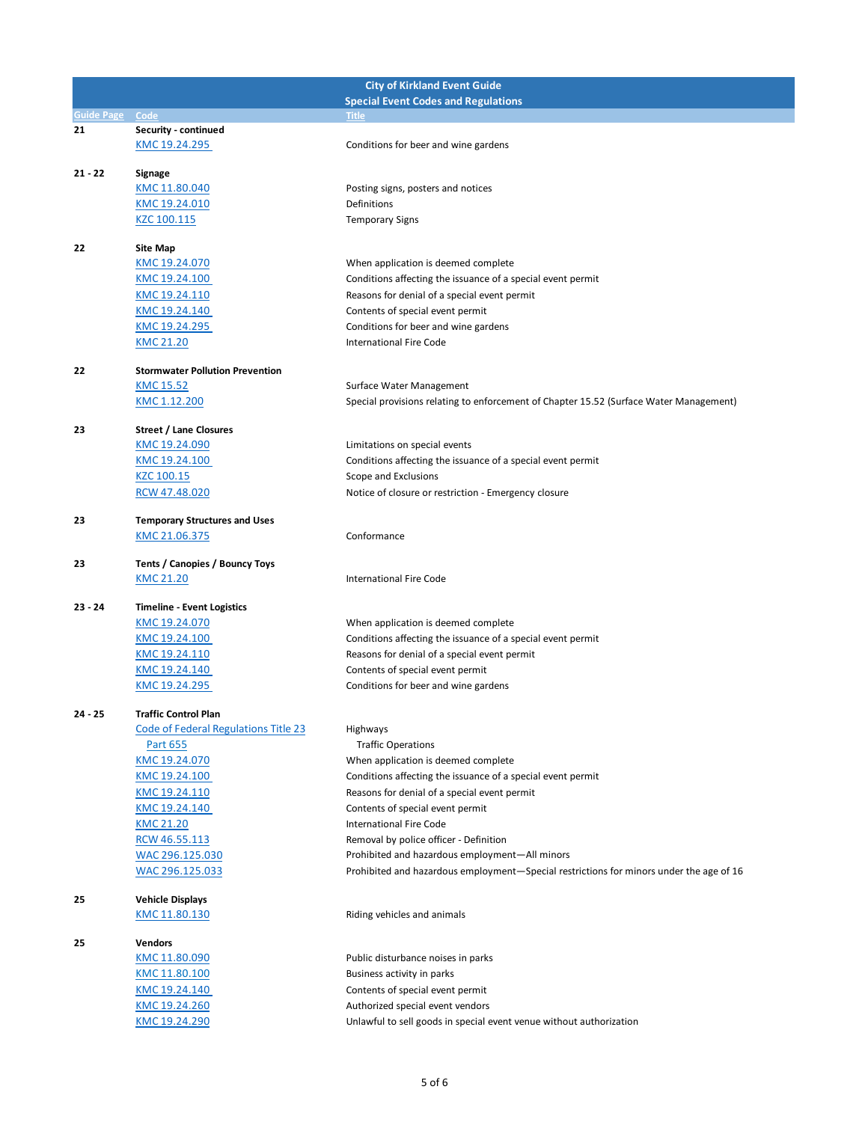| <b>City of Kirkland Event Guide</b> |                                        |                                                                                          |
|-------------------------------------|----------------------------------------|------------------------------------------------------------------------------------------|
|                                     |                                        | <b>Special Event Codes and Regulations</b>                                               |
| <b>Guide Page</b>                   | Code                                   | Title                                                                                    |
| 21                                  | Security - continued                   |                                                                                          |
|                                     | KMC 19.24.295                          | Conditions for beer and wine gardens                                                     |
| $21 - 22$                           |                                        |                                                                                          |
|                                     | Signage                                |                                                                                          |
|                                     | KMC 11.80.040                          | Posting signs, posters and notices                                                       |
|                                     | KMC 19.24.010                          | Definitions                                                                              |
|                                     | KZC 100.115                            | <b>Temporary Signs</b>                                                                   |
| 22                                  | <b>Site Map</b>                        |                                                                                          |
|                                     | KMC 19.24.070                          | When application is deemed complete                                                      |
|                                     | KMC 19.24.100                          | Conditions affecting the issuance of a special event permit                              |
|                                     | KMC 19.24.110                          | Reasons for denial of a special event permit                                             |
|                                     | KMC 19.24.140                          | Contents of special event permit                                                         |
|                                     | KMC 19.24.295                          | Conditions for beer and wine gardens                                                     |
|                                     | <b>KMC 21.20</b>                       | <b>International Fire Code</b>                                                           |
|                                     |                                        |                                                                                          |
| 22                                  | <b>Stormwater Pollution Prevention</b> |                                                                                          |
|                                     | <b>KMC 15.52</b>                       | Surface Water Management                                                                 |
|                                     | KMC 1.12.200                           | Special provisions relating to enforcement of Chapter 15.52 (Surface Water Management)   |
|                                     |                                        |                                                                                          |
| 23                                  | <b>Street / Lane Closures</b>          |                                                                                          |
|                                     | KMC 19.24.090                          | Limitations on special events                                                            |
|                                     | KMC 19.24.100                          | Conditions affecting the issuance of a special event permit                              |
|                                     | KZC 100.15                             | Scope and Exclusions                                                                     |
|                                     | RCW 47.48.020                          | Notice of closure or restriction - Emergency closure                                     |
| 23                                  | <b>Temporary Structures and Uses</b>   |                                                                                          |
|                                     | KMC 21.06.375                          | Conformance                                                                              |
|                                     |                                        |                                                                                          |
| 23                                  | Tents / Canopies / Bouncy Toys         |                                                                                          |
|                                     | <b>KMC 21.20</b>                       | <b>International Fire Code</b>                                                           |
|                                     |                                        |                                                                                          |
| $23 - 24$                           | <b>Timeline - Event Logistics</b>      |                                                                                          |
|                                     | KMC 19.24.070                          | When application is deemed complete                                                      |
|                                     | KMC 19.24.100                          | Conditions affecting the issuance of a special event permit                              |
|                                     | KMC 19.24.110                          | Reasons for denial of a special event permit                                             |
|                                     | KMC 19.24.140                          | Contents of special event permit                                                         |
|                                     | KMC 19.24.295                          | Conditions for beer and wine gardens                                                     |
| $24 - 25$                           | <b>Traffic Control Plan</b>            |                                                                                          |
|                                     | Code of Federal Regulations Title 23   | Highways                                                                                 |
|                                     | Part 655                               | <b>Traffic Operations</b>                                                                |
|                                     | KMC 19.24.070                          | When application is deemed complete                                                      |
|                                     | KMC 19.24.100                          | Conditions affecting the issuance of a special event permit                              |
|                                     | KMC 19.24.110                          | Reasons for denial of a special event permit                                             |
|                                     |                                        |                                                                                          |
|                                     | KMC 19.24.140                          | Contents of special event permit                                                         |
|                                     | <b>KMC 21.20</b>                       | <b>International Fire Code</b>                                                           |
|                                     | RCW 46.55.113                          | Removal by police officer - Definition<br>Prohibited and hazardous employment-All minors |
|                                     | WAC 296.125.030                        |                                                                                          |
|                                     | WAC 296.125.033                        | Prohibited and hazardous employment—Special restrictions for minors under the age of 16  |
| 25                                  | <b>Vehicle Displays</b>                |                                                                                          |
|                                     | KMC 11.80.130                          | Riding vehicles and animals                                                              |
|                                     |                                        |                                                                                          |
| 25                                  | <b>Vendors</b>                         |                                                                                          |
|                                     | KMC 11.80.090                          | Public disturbance noises in parks                                                       |
|                                     | KMC 11.80.100                          | Business activity in parks                                                               |
|                                     | KMC 19.24.140                          | Contents of special event permit                                                         |
|                                     | KMC 19.24.260                          | Authorized special event vendors                                                         |
|                                     | KMC 19.24.290                          | Unlawful to sell goods in special event venue without authorization                      |
|                                     |                                        |                                                                                          |